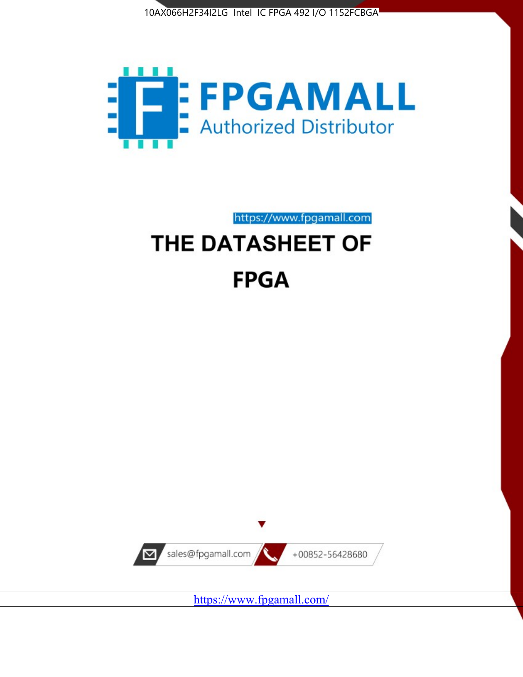



https://www.fpgamall.com

# THE DATASHEET OF **FPGA**



<https://www.fpgamall.com/>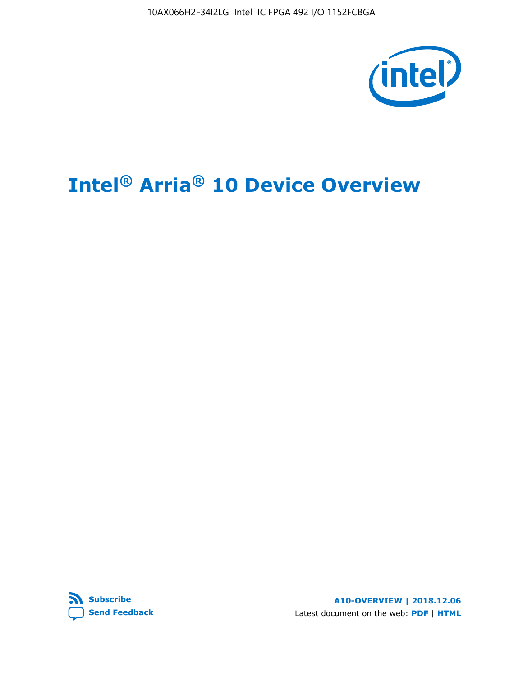10AX066H2F34I2LG Intel IC FPGA 492 I/O 1152FCBGA



# **Intel® Arria® 10 Device Overview**



**A10-OVERVIEW | 2018.12.06** Latest document on the web: **[PDF](https://www.intel.com/content/dam/www/programmable/us/en/pdfs/literature/hb/arria-10/a10_overview.pdf)** | **[HTML](https://www.intel.com/content/www/us/en/programmable/documentation/sam1403480274650.html)**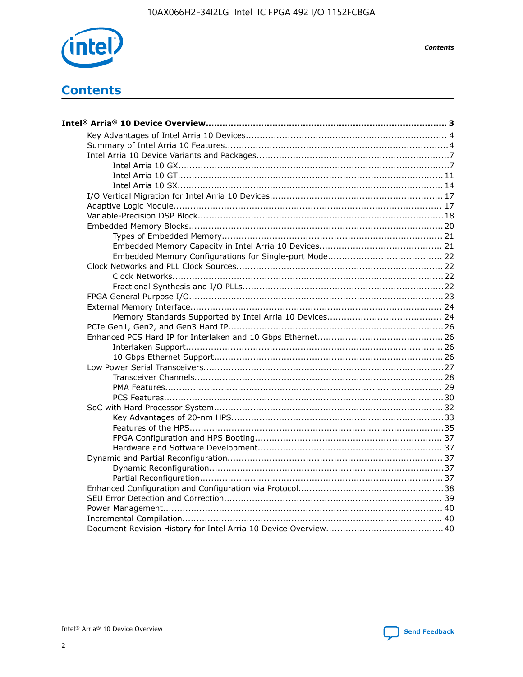

**Contents** 

# **Contents**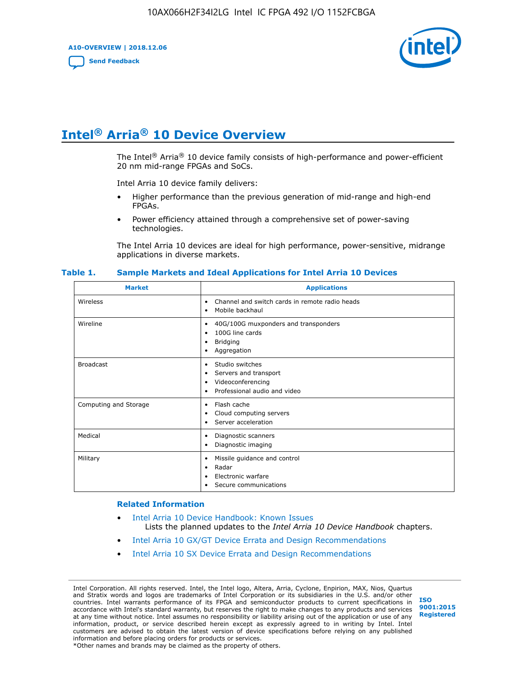**A10-OVERVIEW | 2018.12.06**

**[Send Feedback](mailto:FPGAtechdocfeedback@intel.com?subject=Feedback%20on%20Intel%20Arria%2010%20Device%20Overview%20(A10-OVERVIEW%202018.12.06)&body=We%20appreciate%20your%20feedback.%20In%20your%20comments,%20also%20specify%20the%20page%20number%20or%20paragraph.%20Thank%20you.)**



# **Intel® Arria® 10 Device Overview**

The Intel<sup>®</sup> Arria<sup>®</sup> 10 device family consists of high-performance and power-efficient 20 nm mid-range FPGAs and SoCs.

Intel Arria 10 device family delivers:

- Higher performance than the previous generation of mid-range and high-end FPGAs.
- Power efficiency attained through a comprehensive set of power-saving technologies.

The Intel Arria 10 devices are ideal for high performance, power-sensitive, midrange applications in diverse markets.

| <b>Market</b>         | <b>Applications</b>                                                                                               |
|-----------------------|-------------------------------------------------------------------------------------------------------------------|
| Wireless              | Channel and switch cards in remote radio heads<br>٠<br>Mobile backhaul<br>٠                                       |
| Wireline              | 40G/100G muxponders and transponders<br>٠<br>100G line cards<br>٠<br><b>Bridging</b><br>٠<br>Aggregation<br>٠     |
| <b>Broadcast</b>      | Studio switches<br>٠<br>Servers and transport<br>٠<br>Videoconferencing<br>٠<br>Professional audio and video<br>٠ |
| Computing and Storage | Flash cache<br>٠<br>Cloud computing servers<br>٠<br>Server acceleration<br>٠                                      |
| Medical               | Diagnostic scanners<br>٠<br>Diagnostic imaging<br>٠                                                               |
| Military              | Missile guidance and control<br>٠<br>Radar<br>٠<br>Electronic warfare<br>٠<br>Secure communications<br>٠          |

#### **Table 1. Sample Markets and Ideal Applications for Intel Arria 10 Devices**

#### **Related Information**

- [Intel Arria 10 Device Handbook: Known Issues](http://www.altera.com/support/kdb/solutions/rd07302013_646.html) Lists the planned updates to the *Intel Arria 10 Device Handbook* chapters.
- [Intel Arria 10 GX/GT Device Errata and Design Recommendations](https://www.intel.com/content/www/us/en/programmable/documentation/agz1493851706374.html#yqz1494433888646)
- [Intel Arria 10 SX Device Errata and Design Recommendations](https://www.intel.com/content/www/us/en/programmable/documentation/cru1462832385668.html#cru1462832558642)

Intel Corporation. All rights reserved. Intel, the Intel logo, Altera, Arria, Cyclone, Enpirion, MAX, Nios, Quartus and Stratix words and logos are trademarks of Intel Corporation or its subsidiaries in the U.S. and/or other countries. Intel warrants performance of its FPGA and semiconductor products to current specifications in accordance with Intel's standard warranty, but reserves the right to make changes to any products and services at any time without notice. Intel assumes no responsibility or liability arising out of the application or use of any information, product, or service described herein except as expressly agreed to in writing by Intel. Intel customers are advised to obtain the latest version of device specifications before relying on any published information and before placing orders for products or services. \*Other names and brands may be claimed as the property of others.

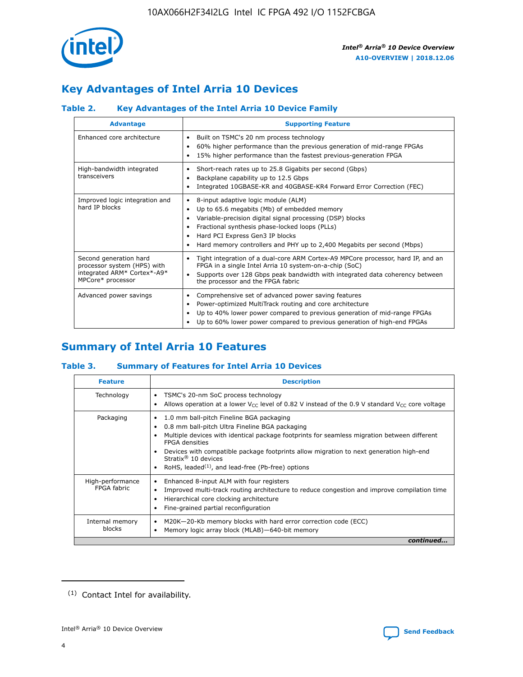

# **Key Advantages of Intel Arria 10 Devices**

# **Table 2. Key Advantages of the Intel Arria 10 Device Family**

| <b>Advantage</b>                                                                                          | <b>Supporting Feature</b>                                                                                                                                                                                                                                                                                                |  |  |  |  |  |
|-----------------------------------------------------------------------------------------------------------|--------------------------------------------------------------------------------------------------------------------------------------------------------------------------------------------------------------------------------------------------------------------------------------------------------------------------|--|--|--|--|--|
| Enhanced core architecture                                                                                | Built on TSMC's 20 nm process technology<br>٠<br>60% higher performance than the previous generation of mid-range FPGAs<br>٠<br>15% higher performance than the fastest previous-generation FPGA<br>٠                                                                                                                    |  |  |  |  |  |
| High-bandwidth integrated<br>transceivers                                                                 | Short-reach rates up to 25.8 Gigabits per second (Gbps)<br>٠<br>Backplane capability up to 12.5 Gbps<br>٠<br>Integrated 10GBASE-KR and 40GBASE-KR4 Forward Error Correction (FEC)<br>٠                                                                                                                                   |  |  |  |  |  |
| Improved logic integration and<br>hard IP blocks                                                          | 8-input adaptive logic module (ALM)<br>٠<br>Up to 65.6 megabits (Mb) of embedded memory<br>٠<br>Variable-precision digital signal processing (DSP) blocks<br>Fractional synthesis phase-locked loops (PLLs)<br>Hard PCI Express Gen3 IP blocks<br>Hard memory controllers and PHY up to 2,400 Megabits per second (Mbps) |  |  |  |  |  |
| Second generation hard<br>processor system (HPS) with<br>integrated ARM* Cortex*-A9*<br>MPCore* processor | Tight integration of a dual-core ARM Cortex-A9 MPCore processor, hard IP, and an<br>٠<br>FPGA in a single Intel Arria 10 system-on-a-chip (SoC)<br>Supports over 128 Gbps peak bandwidth with integrated data coherency between<br>$\bullet$<br>the processor and the FPGA fabric                                        |  |  |  |  |  |
| Advanced power savings                                                                                    | Comprehensive set of advanced power saving features<br>٠<br>Power-optimized MultiTrack routing and core architecture<br>٠<br>Up to 40% lower power compared to previous generation of mid-range FPGAs<br>٠<br>Up to 60% lower power compared to previous generation of high-end FPGAs                                    |  |  |  |  |  |

# **Summary of Intel Arria 10 Features**

## **Table 3. Summary of Features for Intel Arria 10 Devices**

| <b>Feature</b>                  | <b>Description</b>                                                                                                                                                                                                                                                                                                                                                                                           |
|---------------------------------|--------------------------------------------------------------------------------------------------------------------------------------------------------------------------------------------------------------------------------------------------------------------------------------------------------------------------------------------------------------------------------------------------------------|
| Technology                      | TSMC's 20-nm SoC process technology<br>٠<br>Allows operation at a lower $V_{CC}$ level of 0.82 V instead of the 0.9 V standard $V_{CC}$ core voltage                                                                                                                                                                                                                                                         |
| Packaging                       | 1.0 mm ball-pitch Fineline BGA packaging<br>٠<br>0.8 mm ball-pitch Ultra Fineline BGA packaging<br>Multiple devices with identical package footprints for seamless migration between different<br><b>FPGA</b> densities<br>Devices with compatible package footprints allow migration to next generation high-end<br>Stratix <sup>®</sup> 10 devices<br>RoHS, leaded $(1)$ , and lead-free (Pb-free) options |
| High-performance<br>FPGA fabric | Enhanced 8-input ALM with four registers<br>Improved multi-track routing architecture to reduce congestion and improve compilation time<br>Hierarchical core clocking architecture<br>Fine-grained partial reconfiguration                                                                                                                                                                                   |
| Internal memory<br>blocks       | M20K-20-Kb memory blocks with hard error correction code (ECC)<br>٠<br>Memory logic array block (MLAB)-640-bit memory                                                                                                                                                                                                                                                                                        |
|                                 | continued                                                                                                                                                                                                                                                                                                                                                                                                    |



<sup>(1)</sup> Contact Intel for availability.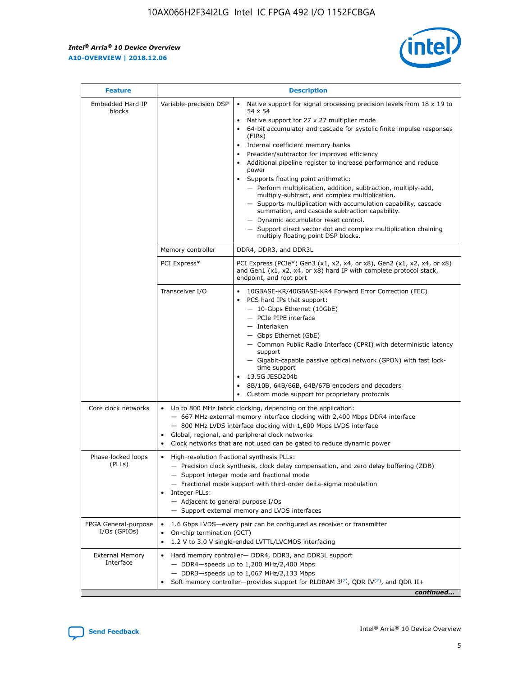r



| <b>Feature</b>                         |                                                                                                                | <b>Description</b>                                                                                                                                                                                                                                                                                                                                                                                                                                                                                                                                                                                                                                                                                                                                                                                                                                               |  |  |  |  |  |  |
|----------------------------------------|----------------------------------------------------------------------------------------------------------------|------------------------------------------------------------------------------------------------------------------------------------------------------------------------------------------------------------------------------------------------------------------------------------------------------------------------------------------------------------------------------------------------------------------------------------------------------------------------------------------------------------------------------------------------------------------------------------------------------------------------------------------------------------------------------------------------------------------------------------------------------------------------------------------------------------------------------------------------------------------|--|--|--|--|--|--|
| Embedded Hard IP<br>blocks             | Variable-precision DSP                                                                                         | Native support for signal processing precision levels from $18 \times 19$ to<br>$\bullet$<br>54 x 54<br>Native support for 27 x 27 multiplier mode<br>$\bullet$<br>64-bit accumulator and cascade for systolic finite impulse responses<br>(FIRs)<br>Internal coefficient memory banks<br>$\bullet$<br>Preadder/subtractor for improved efficiency<br>Additional pipeline register to increase performance and reduce<br>power<br>Supports floating point arithmetic:<br>- Perform multiplication, addition, subtraction, multiply-add,<br>multiply-subtract, and complex multiplication.<br>- Supports multiplication with accumulation capability, cascade<br>summation, and cascade subtraction capability.<br>- Dynamic accumulator reset control.<br>- Support direct vector dot and complex multiplication chaining<br>multiply floating point DSP blocks. |  |  |  |  |  |  |
|                                        | Memory controller                                                                                              | DDR4, DDR3, and DDR3L                                                                                                                                                                                                                                                                                                                                                                                                                                                                                                                                                                                                                                                                                                                                                                                                                                            |  |  |  |  |  |  |
|                                        | PCI Express*                                                                                                   | PCI Express (PCIe*) Gen3 (x1, x2, x4, or x8), Gen2 (x1, x2, x4, or x8)<br>and Gen1 (x1, x2, x4, or x8) hard IP with complete protocol stack,<br>endpoint, and root port                                                                                                                                                                                                                                                                                                                                                                                                                                                                                                                                                                                                                                                                                          |  |  |  |  |  |  |
|                                        | Transceiver I/O                                                                                                | 10GBASE-KR/40GBASE-KR4 Forward Error Correction (FEC)<br>PCS hard IPs that support:<br>- 10-Gbps Ethernet (10GbE)<br>- PCIe PIPE interface<br>- Interlaken<br>- Gbps Ethernet (GbE)<br>- Common Public Radio Interface (CPRI) with deterministic latency<br>support<br>- Gigabit-capable passive optical network (GPON) with fast lock-<br>time support<br>13.5G JESD204b<br>$\bullet$<br>8B/10B, 64B/66B, 64B/67B encoders and decoders<br>Custom mode support for proprietary protocols                                                                                                                                                                                                                                                                                                                                                                        |  |  |  |  |  |  |
| Core clock networks                    | $\bullet$                                                                                                      | Up to 800 MHz fabric clocking, depending on the application:<br>- 667 MHz external memory interface clocking with 2,400 Mbps DDR4 interface<br>- 800 MHz LVDS interface clocking with 1,600 Mbps LVDS interface<br>Global, regional, and peripheral clock networks<br>Clock networks that are not used can be gated to reduce dynamic power                                                                                                                                                                                                                                                                                                                                                                                                                                                                                                                      |  |  |  |  |  |  |
| Phase-locked loops<br>(PLLs)           | High-resolution fractional synthesis PLLs:<br>$\bullet$<br>Integer PLLs:<br>- Adjacent to general purpose I/Os | - Precision clock synthesis, clock delay compensation, and zero delay buffering (ZDB)<br>- Support integer mode and fractional mode<br>- Fractional mode support with third-order delta-sigma modulation<br>- Support external memory and LVDS interfaces                                                                                                                                                                                                                                                                                                                                                                                                                                                                                                                                                                                                        |  |  |  |  |  |  |
| FPGA General-purpose<br>$I/Os$ (GPIOs) | On-chip termination (OCT)<br>$\bullet$                                                                         | 1.6 Gbps LVDS-every pair can be configured as receiver or transmitter<br>1.2 V to 3.0 V single-ended LVTTL/LVCMOS interfacing                                                                                                                                                                                                                                                                                                                                                                                                                                                                                                                                                                                                                                                                                                                                    |  |  |  |  |  |  |
| <b>External Memory</b><br>Interface    | $\bullet$                                                                                                      | Hard memory controller- DDR4, DDR3, and DDR3L support<br>$-$ DDR4-speeds up to 1,200 MHz/2,400 Mbps<br>- DDR3-speeds up to 1,067 MHz/2,133 Mbps<br>Soft memory controller—provides support for RLDRAM $3^{(2)}$ , QDR IV $^{(2)}$ , and QDR II+<br>continued                                                                                                                                                                                                                                                                                                                                                                                                                                                                                                                                                                                                     |  |  |  |  |  |  |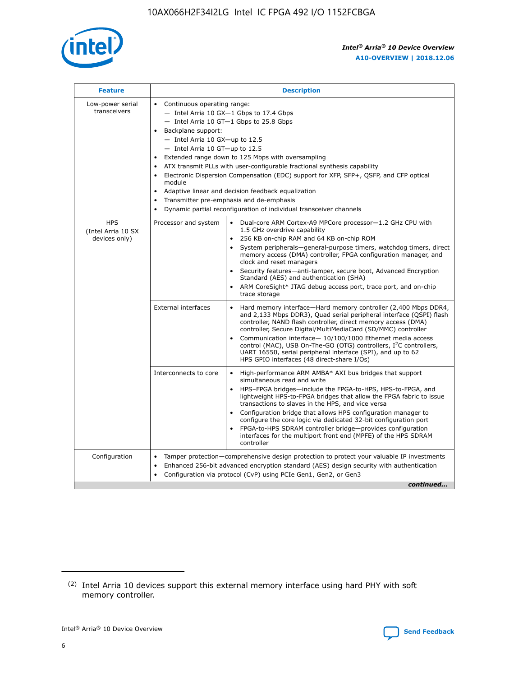

| <b>Feature</b>                                    | <b>Description</b>                                                                                                                                                                                                                                                                                                                                                                                                                                                                                                                                                                                                                                      |
|---------------------------------------------------|---------------------------------------------------------------------------------------------------------------------------------------------------------------------------------------------------------------------------------------------------------------------------------------------------------------------------------------------------------------------------------------------------------------------------------------------------------------------------------------------------------------------------------------------------------------------------------------------------------------------------------------------------------|
| Low-power serial<br>transceivers                  | • Continuous operating range:<br>- Intel Arria 10 GX-1 Gbps to 17.4 Gbps<br>- Intel Arria 10 GT-1 Gbps to 25.8 Gbps<br>Backplane support:<br>$-$ Intel Arria 10 GX-up to 12.5<br>- Intel Arria 10 GT-up to 12.5<br>Extended range down to 125 Mbps with oversampling<br>ATX transmit PLLs with user-configurable fractional synthesis capability<br>• Electronic Dispersion Compensation (EDC) support for XFP, SFP+, QSFP, and CFP optical<br>module<br>Adaptive linear and decision feedback equalization<br>$\bullet$<br>Transmitter pre-emphasis and de-emphasis<br>$\bullet$<br>Dynamic partial reconfiguration of individual transceiver channels |
| <b>HPS</b><br>(Intel Arria 10 SX<br>devices only) | Processor and system<br>Dual-core ARM Cortex-A9 MPCore processor-1.2 GHz CPU with<br>$\bullet$<br>1.5 GHz overdrive capability<br>• 256 KB on-chip RAM and 64 KB on-chip ROM<br>System peripherals-general-purpose timers, watchdog timers, direct<br>memory access (DMA) controller, FPGA configuration manager, and<br>clock and reset managers<br>• Security features—anti-tamper, secure boot, Advanced Encryption<br>Standard (AES) and authentication (SHA)<br>ARM CoreSight* JTAG debug access port, trace port, and on-chip<br>trace storage                                                                                                    |
|                                                   | <b>External interfaces</b><br>Hard memory interface—Hard memory controller (2,400 Mbps DDR4,<br>$\bullet$<br>and 2,133 Mbps DDR3), Quad serial peripheral interface (QSPI) flash<br>controller, NAND flash controller, direct memory access (DMA)<br>controller, Secure Digital/MultiMediaCard (SD/MMC) controller<br>Communication interface-10/100/1000 Ethernet media access<br>control (MAC), USB On-The-GO (OTG) controllers, I <sup>2</sup> C controllers,<br>UART 16550, serial peripheral interface (SPI), and up to 62<br>HPS GPIO interfaces (48 direct-share I/Os)                                                                           |
|                                                   | High-performance ARM AMBA* AXI bus bridges that support<br>Interconnects to core<br>$\bullet$<br>simultaneous read and write<br>HPS-FPGA bridges—include the FPGA-to-HPS, HPS-to-FPGA, and<br>lightweight HPS-to-FPGA bridges that allow the FPGA fabric to issue<br>transactions to slaves in the HPS, and vice versa<br>Configuration bridge that allows HPS configuration manager to<br>configure the core logic via dedicated 32-bit configuration port<br>FPGA-to-HPS SDRAM controller bridge-provides configuration<br>interfaces for the multiport front end (MPFE) of the HPS SDRAM<br>controller                                               |
| Configuration                                     | Tamper protection—comprehensive design protection to protect your valuable IP investments<br>Enhanced 256-bit advanced encryption standard (AES) design security with authentication<br>٠<br>Configuration via protocol (CvP) using PCIe Gen1, Gen2, or Gen3<br>continued                                                                                                                                                                                                                                                                                                                                                                               |

<sup>(2)</sup> Intel Arria 10 devices support this external memory interface using hard PHY with soft memory controller.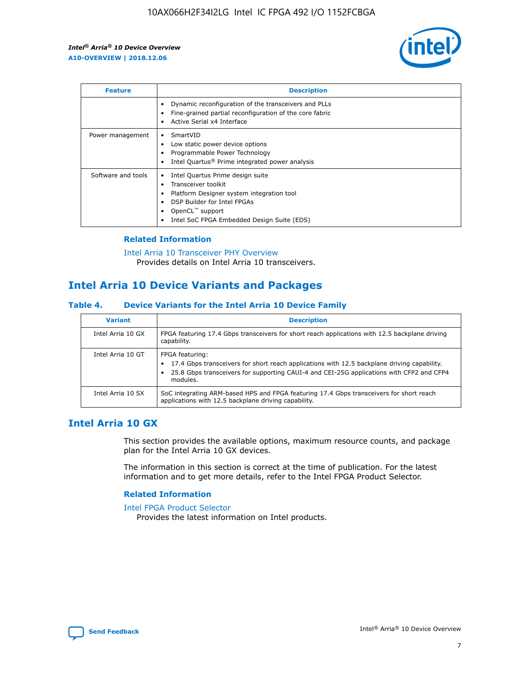

| <b>Feature</b>     | <b>Description</b>                                                                                                                                                                                               |
|--------------------|------------------------------------------------------------------------------------------------------------------------------------------------------------------------------------------------------------------|
|                    | Dynamic reconfiguration of the transceivers and PLLs<br>Fine-grained partial reconfiguration of the core fabric<br>Active Serial x4 Interface<br>$\bullet$                                                       |
| Power management   | SmartVID<br>Low static power device options<br>Programmable Power Technology<br>Intel Quartus <sup>®</sup> Prime integrated power analysis                                                                       |
| Software and tools | Intel Quartus Prime design suite<br>Transceiver toolkit<br>Platform Designer system integration tool<br>DSP Builder for Intel FPGAs<br>OpenCL <sup>™</sup> support<br>Intel SoC FPGA Embedded Design Suite (EDS) |

## **Related Information**

[Intel Arria 10 Transceiver PHY Overview](https://www.intel.com/content/www/us/en/programmable/documentation/nik1398707230472.html#nik1398706768037) Provides details on Intel Arria 10 transceivers.

# **Intel Arria 10 Device Variants and Packages**

#### **Table 4. Device Variants for the Intel Arria 10 Device Family**

| <b>Variant</b>    | <b>Description</b>                                                                                                                                                                                                     |
|-------------------|------------------------------------------------------------------------------------------------------------------------------------------------------------------------------------------------------------------------|
| Intel Arria 10 GX | FPGA featuring 17.4 Gbps transceivers for short reach applications with 12.5 backplane driving<br>capability.                                                                                                          |
| Intel Arria 10 GT | FPGA featuring:<br>17.4 Gbps transceivers for short reach applications with 12.5 backplane driving capability.<br>25.8 Gbps transceivers for supporting CAUI-4 and CEI-25G applications with CFP2 and CFP4<br>modules. |
| Intel Arria 10 SX | SoC integrating ARM-based HPS and FPGA featuring 17.4 Gbps transceivers for short reach<br>applications with 12.5 backplane driving capability.                                                                        |

# **Intel Arria 10 GX**

This section provides the available options, maximum resource counts, and package plan for the Intel Arria 10 GX devices.

The information in this section is correct at the time of publication. For the latest information and to get more details, refer to the Intel FPGA Product Selector.

#### **Related Information**

#### [Intel FPGA Product Selector](http://www.altera.com/products/selector/psg-selector.html) Provides the latest information on Intel products.

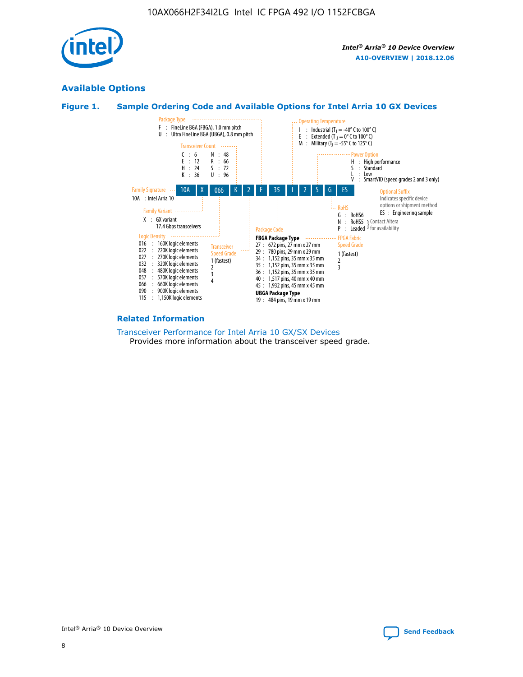

# **Available Options**





#### **Related Information**

[Transceiver Performance for Intel Arria 10 GX/SX Devices](https://www.intel.com/content/www/us/en/programmable/documentation/mcn1413182292568.html#mcn1413213965502) Provides more information about the transceiver speed grade.

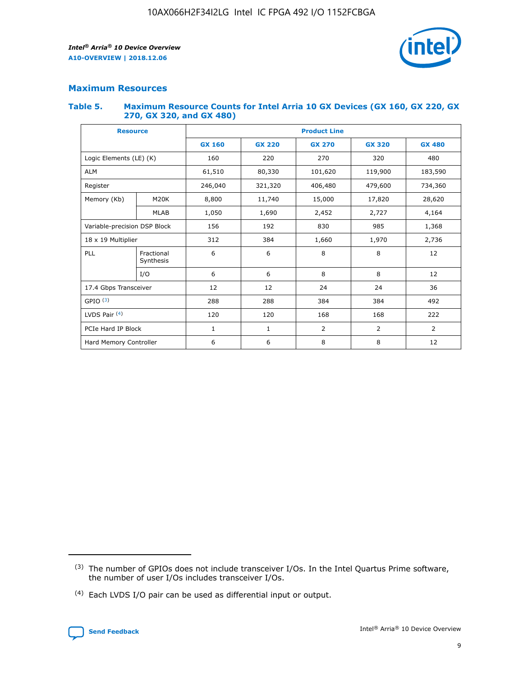

# **Maximum Resources**

#### **Table 5. Maximum Resource Counts for Intel Arria 10 GX Devices (GX 160, GX 220, GX 270, GX 320, and GX 480)**

| <b>Resource</b>              |                         | <b>Product Line</b> |                  |                    |                |                |  |  |  |
|------------------------------|-------------------------|---------------------|------------------|--------------------|----------------|----------------|--|--|--|
|                              |                         | <b>GX 160</b>       | <b>GX 220</b>    | <b>GX 270</b>      | <b>GX 320</b>  | <b>GX 480</b>  |  |  |  |
| Logic Elements (LE) (K)      |                         | 160                 | 220              | 270                | 320            | 480            |  |  |  |
| <b>ALM</b>                   |                         | 61,510              | 80,330           | 101,620            | 119,900        | 183,590        |  |  |  |
| Register                     |                         | 246,040             | 321,320          | 406,480<br>479,600 |                | 734,360        |  |  |  |
| Memory (Kb)                  | M <sub>20</sub> K       | 8,800               | 11,740<br>15,000 |                    | 17,820         | 28,620         |  |  |  |
|                              | <b>MLAB</b>             | 1,050               | 1,690            | 2,452              | 2,727          | 4,164          |  |  |  |
| Variable-precision DSP Block |                         | 156                 | 192<br>830       |                    | 985            | 1,368          |  |  |  |
| 18 x 19 Multiplier           |                         | 312                 | 384              | 1,970<br>1,660     |                | 2,736          |  |  |  |
| PLL                          | Fractional<br>Synthesis | 6                   | 6                | 8                  | 8              | 12             |  |  |  |
|                              | I/O                     | 6                   | 6                | 8                  | 8              | 12             |  |  |  |
| 17.4 Gbps Transceiver        |                         | 12                  | 12               | 24                 | 24             | 36             |  |  |  |
| GPIO <sup>(3)</sup>          |                         | 288                 | 288              | 384<br>384         |                | 492            |  |  |  |
| LVDS Pair $(4)$              |                         | 120                 | 120              | 168                | 168            | 222            |  |  |  |
| PCIe Hard IP Block           |                         | 1                   | 1                | 2                  | $\overline{2}$ | $\overline{2}$ |  |  |  |
| Hard Memory Controller       |                         | 6                   | 6                | 8                  | 8              | 12             |  |  |  |

<sup>(4)</sup> Each LVDS I/O pair can be used as differential input or output.



<sup>(3)</sup> The number of GPIOs does not include transceiver I/Os. In the Intel Quartus Prime software, the number of user I/Os includes transceiver I/Os.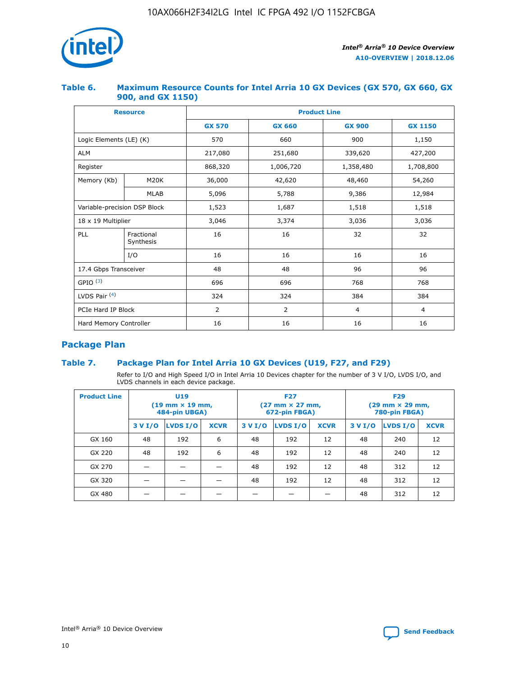

## **Table 6. Maximum Resource Counts for Intel Arria 10 GX Devices (GX 570, GX 660, GX 900, and GX 1150)**

|                              | <b>Resource</b>         | <b>Product Line</b> |               |                |                |  |  |  |  |
|------------------------------|-------------------------|---------------------|---------------|----------------|----------------|--|--|--|--|
|                              |                         | <b>GX 570</b>       | <b>GX 660</b> | <b>GX 900</b>  | <b>GX 1150</b> |  |  |  |  |
| Logic Elements (LE) (K)      |                         | 570                 | 660           | 900            | 1,150          |  |  |  |  |
| <b>ALM</b>                   |                         | 217,080             | 251,680       | 339,620        | 427,200        |  |  |  |  |
| Register                     |                         | 868,320             | 1,006,720     | 1,358,480      | 1,708,800      |  |  |  |  |
| Memory (Kb)                  | <b>M20K</b>             | 36,000              | 42,620        | 48,460         | 54,260         |  |  |  |  |
|                              | <b>MLAB</b>             | 5,096               | 5,788         | 9,386          | 12,984         |  |  |  |  |
| Variable-precision DSP Block |                         | 1,523               | 1,687         | 1,518          | 1,518          |  |  |  |  |
| 18 x 19 Multiplier           |                         | 3,046               | 3,374         | 3,036          | 3,036          |  |  |  |  |
| PLL                          | Fractional<br>Synthesis | 16                  | 16            | 32             | 32             |  |  |  |  |
|                              | I/O                     | 16                  | 16            | 16             | 16             |  |  |  |  |
| 17.4 Gbps Transceiver        |                         | 48                  | 48            | 96             | 96             |  |  |  |  |
| GPIO <sup>(3)</sup>          |                         | 696                 | 696           | 768            | 768            |  |  |  |  |
| LVDS Pair $(4)$              |                         | 324                 | 324           | 384            | 384            |  |  |  |  |
| PCIe Hard IP Block           |                         | 2                   | 2             | $\overline{4}$ | 4              |  |  |  |  |
| Hard Memory Controller       |                         | 16                  | 16            | 16             | 16             |  |  |  |  |

# **Package Plan**

## **Table 7. Package Plan for Intel Arria 10 GX Devices (U19, F27, and F29)**

Refer to I/O and High Speed I/O in Intel Arria 10 Devices chapter for the number of 3 V I/O, LVDS I/O, and LVDS channels in each device package.

| <b>Product Line</b> | U <sub>19</sub><br>$(19 \text{ mm} \times 19 \text{ mm})$<br>484-pin UBGA) |          |             |         | <b>F27</b><br>(27 mm × 27 mm,<br>672-pin FBGA) |             | <b>F29</b><br>(29 mm × 29 mm,<br>780-pin FBGA) |          |             |  |
|---------------------|----------------------------------------------------------------------------|----------|-------------|---------|------------------------------------------------|-------------|------------------------------------------------|----------|-------------|--|
|                     | 3 V I/O                                                                    | LVDS I/O | <b>XCVR</b> | 3 V I/O | <b>LVDS I/O</b>                                | <b>XCVR</b> | 3 V I/O                                        | LVDS I/O | <b>XCVR</b> |  |
| GX 160              | 48                                                                         | 192      | 6           | 48      | 192                                            | 12          | 48                                             | 240      | 12          |  |
| GX 220              | 48                                                                         | 192      | 6           | 48      | 192                                            | 12          | 48                                             | 240      | 12          |  |
| GX 270              |                                                                            |          |             | 48      | 192                                            | 12          | 48                                             | 312      | 12          |  |
| GX 320              |                                                                            |          |             | 48      | 192                                            | 12          | 48                                             | 312      | 12          |  |
| GX 480              |                                                                            |          |             |         |                                                |             | 48                                             | 312      | 12          |  |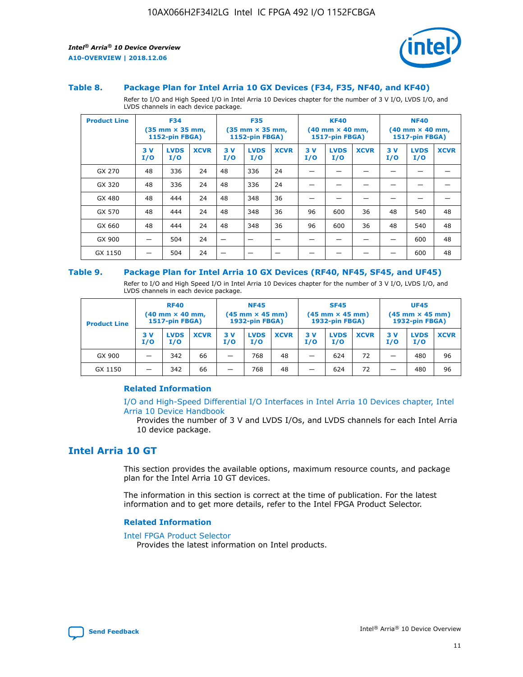



#### **Table 8. Package Plan for Intel Arria 10 GX Devices (F34, F35, NF40, and KF40)**

Refer to I/O and High Speed I/O in Intel Arria 10 Devices chapter for the number of 3 V I/O, LVDS I/O, and LVDS channels in each device package.

| <b>Product Line</b> | <b>F34</b><br>$(35 \text{ mm} \times 35 \text{ mm})$<br>1152-pin FBGA) |                    | <b>F35</b><br>$(35$ mm $\times$ 35 mm,<br><b>1152-pin FBGA)</b> |           | <b>KF40</b><br>$(40$ mm $\times$ 40 mm,<br>1517-pin FBGA) |             |           | <b>NF40</b><br>$(40$ mm $\times$ 40 mm,<br><b>1517-pin FBGA)</b> |             |            |                    |             |
|---------------------|------------------------------------------------------------------------|--------------------|-----------------------------------------------------------------|-----------|-----------------------------------------------------------|-------------|-----------|------------------------------------------------------------------|-------------|------------|--------------------|-------------|
|                     | 3V<br>I/O                                                              | <b>LVDS</b><br>I/O | <b>XCVR</b>                                                     | 3V<br>I/O | <b>LVDS</b><br>I/O                                        | <b>XCVR</b> | 3V<br>I/O | <b>LVDS</b><br>I/O                                               | <b>XCVR</b> | 3 V<br>I/O | <b>LVDS</b><br>I/O | <b>XCVR</b> |
| GX 270              | 48                                                                     | 336                | 24                                                              | 48        | 336                                                       | 24          |           |                                                                  |             |            |                    |             |
| GX 320              | 48                                                                     | 336                | 24                                                              | 48        | 336                                                       | 24          |           |                                                                  |             |            |                    |             |
| GX 480              | 48                                                                     | 444                | 24                                                              | 48        | 348                                                       | 36          |           |                                                                  |             |            |                    |             |
| GX 570              | 48                                                                     | 444                | 24                                                              | 48        | 348                                                       | 36          | 96        | 600                                                              | 36          | 48         | 540                | 48          |
| GX 660              | 48                                                                     | 444                | 24                                                              | 48        | 348                                                       | 36          | 96        | 600                                                              | 36          | 48         | 540                | 48          |
| GX 900              |                                                                        | 504                | 24                                                              | –         |                                                           | -           |           |                                                                  |             |            | 600                | 48          |
| GX 1150             |                                                                        | 504                | 24                                                              |           |                                                           |             |           |                                                                  |             |            | 600                | 48          |

#### **Table 9. Package Plan for Intel Arria 10 GX Devices (RF40, NF45, SF45, and UF45)**

Refer to I/O and High Speed I/O in Intel Arria 10 Devices chapter for the number of 3 V I/O, LVDS I/O, and LVDS channels in each device package.

| <b>Product Line</b> | <b>RF40</b><br>$(40$ mm $\times$ 40 mm,<br>1517-pin FBGA) |                    | <b>NF45</b><br>$(45 \text{ mm} \times 45 \text{ mm})$<br><b>1932-pin FBGA)</b> |            |                    | <b>SF45</b><br>$(45 \text{ mm} \times 45 \text{ mm})$<br><b>1932-pin FBGA)</b> |            |                    | <b>UF45</b><br>$(45 \text{ mm} \times 45 \text{ mm})$<br><b>1932-pin FBGA)</b> |           |                    |             |
|---------------------|-----------------------------------------------------------|--------------------|--------------------------------------------------------------------------------|------------|--------------------|--------------------------------------------------------------------------------|------------|--------------------|--------------------------------------------------------------------------------|-----------|--------------------|-------------|
|                     | 3V<br>I/O                                                 | <b>LVDS</b><br>I/O | <b>XCVR</b>                                                                    | 3 V<br>I/O | <b>LVDS</b><br>I/O | <b>XCVR</b>                                                                    | 3 V<br>I/O | <b>LVDS</b><br>I/O | <b>XCVR</b>                                                                    | 3V<br>I/O | <b>LVDS</b><br>I/O | <b>XCVR</b> |
| GX 900              |                                                           | 342                | 66                                                                             | _          | 768                | 48                                                                             |            | 624                | 72                                                                             |           | 480                | 96          |
| GX 1150             |                                                           | 342                | 66                                                                             | _          | 768                | 48                                                                             |            | 624                | 72                                                                             |           | 480                | 96          |

### **Related Information**

[I/O and High-Speed Differential I/O Interfaces in Intel Arria 10 Devices chapter, Intel](https://www.intel.com/content/www/us/en/programmable/documentation/sam1403482614086.html#sam1403482030321) [Arria 10 Device Handbook](https://www.intel.com/content/www/us/en/programmable/documentation/sam1403482614086.html#sam1403482030321)

Provides the number of 3 V and LVDS I/Os, and LVDS channels for each Intel Arria 10 device package.

# **Intel Arria 10 GT**

This section provides the available options, maximum resource counts, and package plan for the Intel Arria 10 GT devices.

The information in this section is correct at the time of publication. For the latest information and to get more details, refer to the Intel FPGA Product Selector.

#### **Related Information**

#### [Intel FPGA Product Selector](http://www.altera.com/products/selector/psg-selector.html)

Provides the latest information on Intel products.

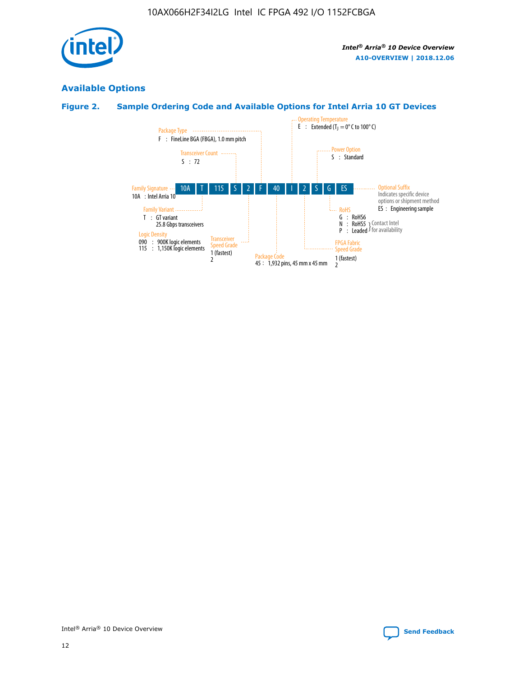

# **Available Options**

# **Figure 2. Sample Ordering Code and Available Options for Intel Arria 10 GT Devices**

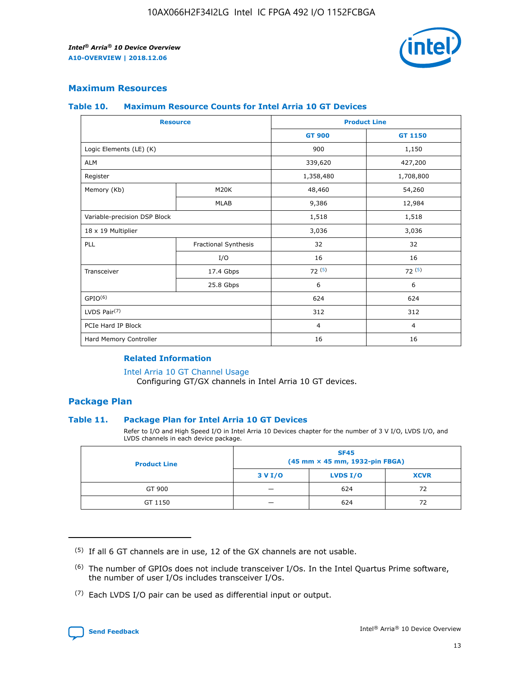

## **Maximum Resources**

#### **Table 10. Maximum Resource Counts for Intel Arria 10 GT Devices**

| <b>Resource</b>              |                      | <b>Product Line</b> |                |  |
|------------------------------|----------------------|---------------------|----------------|--|
|                              |                      | <b>GT 900</b>       | <b>GT 1150</b> |  |
| Logic Elements (LE) (K)      |                      | 900                 | 1,150          |  |
| <b>ALM</b>                   |                      | 339,620             | 427,200        |  |
| Register                     |                      | 1,358,480           | 1,708,800      |  |
| Memory (Kb)                  | M20K                 | 48,460              | 54,260         |  |
|                              | <b>MLAB</b>          | 9,386               | 12,984         |  |
| Variable-precision DSP Block |                      | 1,518               | 1,518          |  |
| 18 x 19 Multiplier           |                      | 3,036               | 3,036          |  |
| PLL                          | Fractional Synthesis | 32                  | 32             |  |
|                              | I/O                  | 16                  | 16             |  |
| Transceiver                  | 17.4 Gbps            | 72(5)               | 72(5)          |  |
|                              | 25.8 Gbps            | 6                   | 6              |  |
| GPIO <sup>(6)</sup>          |                      | 624                 | 624            |  |
| LVDS Pair $(7)$              |                      | 312                 | 312            |  |
| PCIe Hard IP Block           |                      | $\overline{4}$      | $\overline{4}$ |  |
| Hard Memory Controller       |                      | 16                  | 16             |  |

### **Related Information**

#### [Intel Arria 10 GT Channel Usage](https://www.intel.com/content/www/us/en/programmable/documentation/nik1398707230472.html#nik1398707008178)

Configuring GT/GX channels in Intel Arria 10 GT devices.

## **Package Plan**

### **Table 11. Package Plan for Intel Arria 10 GT Devices**

Refer to I/O and High Speed I/O in Intel Arria 10 Devices chapter for the number of 3 V I/O, LVDS I/O, and LVDS channels in each device package.

| <b>Product Line</b> | <b>SF45</b><br>(45 mm × 45 mm, 1932-pin FBGA) |                 |             |  |  |  |
|---------------------|-----------------------------------------------|-----------------|-------------|--|--|--|
|                     | 3 V I/O                                       | <b>LVDS I/O</b> | <b>XCVR</b> |  |  |  |
| GT 900              |                                               | 624             | 72          |  |  |  |
| GT 1150             |                                               | 624             | 72          |  |  |  |

<sup>(7)</sup> Each LVDS I/O pair can be used as differential input or output.



 $(5)$  If all 6 GT channels are in use, 12 of the GX channels are not usable.

<sup>(6)</sup> The number of GPIOs does not include transceiver I/Os. In the Intel Quartus Prime software, the number of user I/Os includes transceiver I/Os.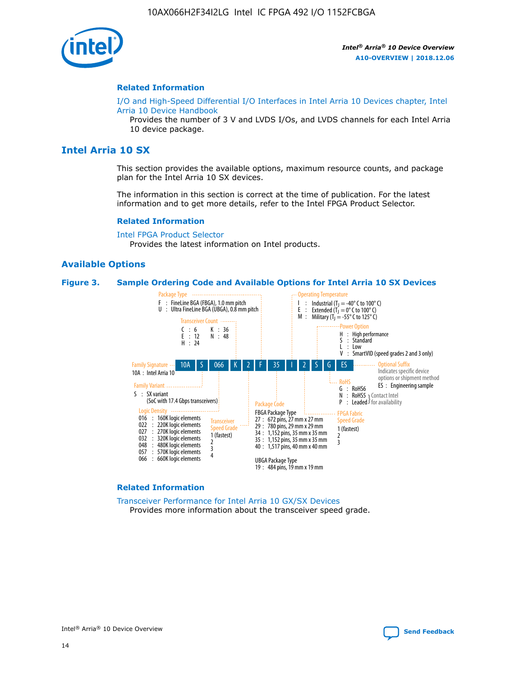

#### **Related Information**

[I/O and High-Speed Differential I/O Interfaces in Intel Arria 10 Devices chapter, Intel](https://www.intel.com/content/www/us/en/programmable/documentation/sam1403482614086.html#sam1403482030321) [Arria 10 Device Handbook](https://www.intel.com/content/www/us/en/programmable/documentation/sam1403482614086.html#sam1403482030321)

Provides the number of 3 V and LVDS I/Os, and LVDS channels for each Intel Arria 10 device package.

# **Intel Arria 10 SX**

This section provides the available options, maximum resource counts, and package plan for the Intel Arria 10 SX devices.

The information in this section is correct at the time of publication. For the latest information and to get more details, refer to the Intel FPGA Product Selector.

#### **Related Information**

[Intel FPGA Product Selector](http://www.altera.com/products/selector/psg-selector.html) Provides the latest information on Intel products.

#### **Available Options**

#### **Figure 3. Sample Ordering Code and Available Options for Intel Arria 10 SX Devices**



#### **Related Information**

[Transceiver Performance for Intel Arria 10 GX/SX Devices](https://www.intel.com/content/www/us/en/programmable/documentation/mcn1413182292568.html#mcn1413213965502) Provides more information about the transceiver speed grade.

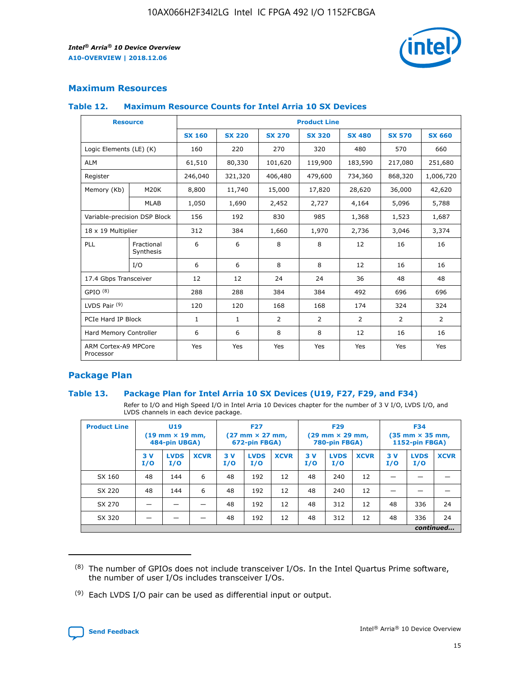

## **Maximum Resources**

#### **Table 12. Maximum Resource Counts for Intel Arria 10 SX Devices**

| <b>Resource</b>                   |                         | <b>Product Line</b> |               |                |                |                |                |                |  |  |  |
|-----------------------------------|-------------------------|---------------------|---------------|----------------|----------------|----------------|----------------|----------------|--|--|--|
|                                   |                         | <b>SX 160</b>       | <b>SX 220</b> | <b>SX 270</b>  | <b>SX 320</b>  | <b>SX 480</b>  | <b>SX 570</b>  | <b>SX 660</b>  |  |  |  |
| Logic Elements (LE) (K)           |                         | 160                 | 220           | 270            | 320            | 480            | 570            | 660            |  |  |  |
| <b>ALM</b>                        |                         | 61,510              | 80,330        | 101,620        | 119,900        | 183,590        | 217,080        | 251,680        |  |  |  |
| Register                          |                         | 246,040             | 321,320       | 406,480        | 479,600        | 734,360        | 868,320        | 1,006,720      |  |  |  |
| Memory (Kb)                       | M <sub>20</sub> K       | 8,800               | 11,740        | 15,000         | 17,820         | 28,620         | 36,000         | 42,620         |  |  |  |
|                                   | <b>MLAB</b>             | 1,050               | 1,690         | 2,452          | 2,727          | 4,164          | 5,096          | 5,788          |  |  |  |
| Variable-precision DSP Block      |                         | 156                 | 192           | 830            | 985            | 1,368          | 1,523          | 1,687          |  |  |  |
| 18 x 19 Multiplier                |                         | 312                 | 384           | 1,660          | 1,970          | 2,736          | 3,046          | 3,374          |  |  |  |
| PLL                               | Fractional<br>Synthesis | 6                   | 6             | 8              | 8              | 12             | 16             | 16             |  |  |  |
|                                   | I/O                     | 6                   | 6             | 8              | 8              | 12             | 16             | 16             |  |  |  |
| 17.4 Gbps Transceiver             |                         | 12                  | 12            | 24             | 24             | 36             | 48             | 48             |  |  |  |
| GPIO <sup>(8)</sup>               |                         | 288                 | 288           | 384            | 384            | 492            | 696            | 696            |  |  |  |
| LVDS Pair $(9)$                   |                         | 120                 | 120           | 168            | 168            | 174            | 324            | 324            |  |  |  |
| PCIe Hard IP Block                |                         | $\mathbf{1}$        | $\mathbf{1}$  | $\overline{2}$ | $\overline{2}$ | $\overline{2}$ | $\overline{2}$ | $\overline{2}$ |  |  |  |
| Hard Memory Controller            |                         | 6                   | 6             | 8              | 8              | 12             | 16             | 16             |  |  |  |
| ARM Cortex-A9 MPCore<br>Processor |                         | Yes                 | Yes           | Yes            | Yes            | Yes            | Yes            | <b>Yes</b>     |  |  |  |

## **Package Plan**

### **Table 13. Package Plan for Intel Arria 10 SX Devices (U19, F27, F29, and F34)**

Refer to I/O and High Speed I/O in Intel Arria 10 Devices chapter for the number of 3 V I/O, LVDS I/O, and LVDS channels in each device package.

| <b>Product Line</b> | U <sub>19</sub><br>$(19 \text{ mm} \times 19 \text{ mm})$<br>484-pin UBGA) |                    | <b>F27</b><br>$(27 \text{ mm} \times 27 \text{ mm})$<br>672-pin FBGA) |           | <b>F29</b><br>$(29 \text{ mm} \times 29 \text{ mm})$<br>780-pin FBGA) |             |            | <b>F34</b><br>$(35 \text{ mm} \times 35 \text{ mm})$<br><b>1152-pin FBGA)</b> |             |           |                    |             |
|---------------------|----------------------------------------------------------------------------|--------------------|-----------------------------------------------------------------------|-----------|-----------------------------------------------------------------------|-------------|------------|-------------------------------------------------------------------------------|-------------|-----------|--------------------|-------------|
|                     | 3V<br>I/O                                                                  | <b>LVDS</b><br>I/O | <b>XCVR</b>                                                           | 3V<br>I/O | <b>LVDS</b><br>I/O                                                    | <b>XCVR</b> | 3 V<br>I/O | <b>LVDS</b><br>I/O                                                            | <b>XCVR</b> | 3V<br>I/O | <b>LVDS</b><br>I/O | <b>XCVR</b> |
| SX 160              | 48                                                                         | 144                | 6                                                                     | 48        | 192                                                                   | 12          | 48         | 240                                                                           | 12          | –         |                    |             |
| SX 220              | 48                                                                         | 144                | 6                                                                     | 48        | 192                                                                   | 12          | 48         | 240                                                                           | 12          |           |                    |             |
| SX 270              |                                                                            |                    |                                                                       | 48        | 192                                                                   | 12          | 48         | 312                                                                           | 12          | 48        | 336                | 24          |
| SX 320              |                                                                            |                    |                                                                       | 48        | 192                                                                   | 12          | 48         | 312                                                                           | 12          | 48        | 336                | 24          |
|                     | continued                                                                  |                    |                                                                       |           |                                                                       |             |            |                                                                               |             |           |                    |             |

 $(8)$  The number of GPIOs does not include transceiver I/Os. In the Intel Quartus Prime software, the number of user I/Os includes transceiver I/Os.

 $(9)$  Each LVDS I/O pair can be used as differential input or output.

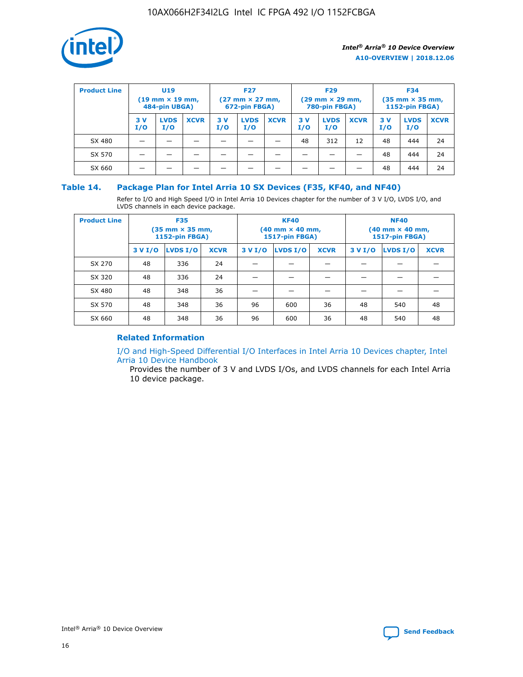

| <b>Product Line</b> | U <sub>19</sub><br>$(19 \text{ mm} \times 19 \text{ mm})$<br>484-pin UBGA) |                    | <b>F27</b><br>$(27 \text{ mm} \times 27 \text{ mm})$<br>672-pin FBGA) |            | <b>F29</b><br>$(29 \text{ mm} \times 29 \text{ mm})$<br>780-pin FBGA) |             |           | <b>F34</b><br>$(35 \text{ mm} \times 35 \text{ mm})$<br><b>1152-pin FBGA)</b> |             |           |                    |             |
|---------------------|----------------------------------------------------------------------------|--------------------|-----------------------------------------------------------------------|------------|-----------------------------------------------------------------------|-------------|-----------|-------------------------------------------------------------------------------|-------------|-----------|--------------------|-------------|
|                     | 3 V<br>I/O                                                                 | <b>LVDS</b><br>I/O | <b>XCVR</b>                                                           | 3 V<br>I/O | <b>LVDS</b><br>I/O                                                    | <b>XCVR</b> | 3V<br>I/O | <b>LVDS</b><br>I/O                                                            | <b>XCVR</b> | 3V<br>I/O | <b>LVDS</b><br>I/O | <b>XCVR</b> |
| SX 480              |                                                                            |                    |                                                                       |            |                                                                       |             | 48        | 312                                                                           | 12          | 48        | 444                | 24          |
| SX 570              |                                                                            |                    |                                                                       |            |                                                                       |             |           |                                                                               |             | 48        | 444                | 24          |
| SX 660              |                                                                            |                    |                                                                       |            |                                                                       |             |           |                                                                               |             | 48        | 444                | 24          |

## **Table 14. Package Plan for Intel Arria 10 SX Devices (F35, KF40, and NF40)**

Refer to I/O and High Speed I/O in Intel Arria 10 Devices chapter for the number of 3 V I/O, LVDS I/O, and LVDS channels in each device package.

| <b>Product Line</b> | <b>F35</b><br>$(35 \text{ mm} \times 35 \text{ mm})$<br><b>1152-pin FBGA)</b> |          |             |                                           | <b>KF40</b><br>(40 mm × 40 mm,<br>1517-pin FBGA) |    | <b>NF40</b><br>$(40 \text{ mm} \times 40 \text{ mm})$<br>1517-pin FBGA) |          |             |  |
|---------------------|-------------------------------------------------------------------------------|----------|-------------|-------------------------------------------|--------------------------------------------------|----|-------------------------------------------------------------------------|----------|-------------|--|
|                     | 3 V I/O                                                                       | LVDS I/O | <b>XCVR</b> | <b>LVDS I/O</b><br><b>XCVR</b><br>3 V I/O |                                                  |    | 3 V I/O                                                                 | LVDS I/O | <b>XCVR</b> |  |
| SX 270              | 48                                                                            | 336      | 24          |                                           |                                                  |    |                                                                         |          |             |  |
| SX 320              | 48                                                                            | 336      | 24          |                                           |                                                  |    |                                                                         |          |             |  |
| SX 480              | 48                                                                            | 348      | 36          |                                           |                                                  |    |                                                                         |          |             |  |
| SX 570              | 48                                                                            | 348      | 36          | 96                                        | 600                                              | 36 | 48                                                                      | 540      | 48          |  |
| SX 660              | 48                                                                            | 348      | 36          | 96                                        | 600                                              | 36 | 48                                                                      | 540      | 48          |  |

# **Related Information**

[I/O and High-Speed Differential I/O Interfaces in Intel Arria 10 Devices chapter, Intel](https://www.intel.com/content/www/us/en/programmable/documentation/sam1403482614086.html#sam1403482030321) [Arria 10 Device Handbook](https://www.intel.com/content/www/us/en/programmable/documentation/sam1403482614086.html#sam1403482030321)

Provides the number of 3 V and LVDS I/Os, and LVDS channels for each Intel Arria 10 device package.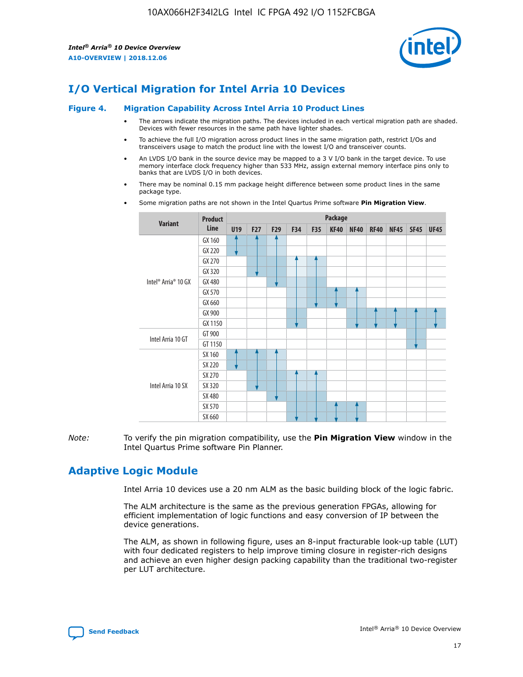

# **I/O Vertical Migration for Intel Arria 10 Devices**

#### **Figure 4. Migration Capability Across Intel Arria 10 Product Lines**

- The arrows indicate the migration paths. The devices included in each vertical migration path are shaded. Devices with fewer resources in the same path have lighter shades.
- To achieve the full I/O migration across product lines in the same migration path, restrict I/Os and transceivers usage to match the product line with the lowest I/O and transceiver counts.
- An LVDS I/O bank in the source device may be mapped to a 3 V I/O bank in the target device. To use memory interface clock frequency higher than 533 MHz, assign external memory interface pins only to banks that are LVDS I/O in both devices.
- There may be nominal 0.15 mm package height difference between some product lines in the same package type.
	- **Variant Product Line Package U19 F27 F29 F34 F35 KF40 NF40 RF40 NF45 SF45 UF45** Intel® Arria® 10 GX GX 160 GX 220 GX 270 GX 320 GX 480 GX 570 GX 660 GX 900 GX 1150 Intel Arria 10 GT GT 900 GT 1150 Intel Arria 10 SX SX 160 SX 220 SX 270 SX 320 SX 480 SX 570 SX 660
- Some migration paths are not shown in the Intel Quartus Prime software **Pin Migration View**.

*Note:* To verify the pin migration compatibility, use the **Pin Migration View** window in the Intel Quartus Prime software Pin Planner.

# **Adaptive Logic Module**

Intel Arria 10 devices use a 20 nm ALM as the basic building block of the logic fabric.

The ALM architecture is the same as the previous generation FPGAs, allowing for efficient implementation of logic functions and easy conversion of IP between the device generations.

The ALM, as shown in following figure, uses an 8-input fracturable look-up table (LUT) with four dedicated registers to help improve timing closure in register-rich designs and achieve an even higher design packing capability than the traditional two-register per LUT architecture.

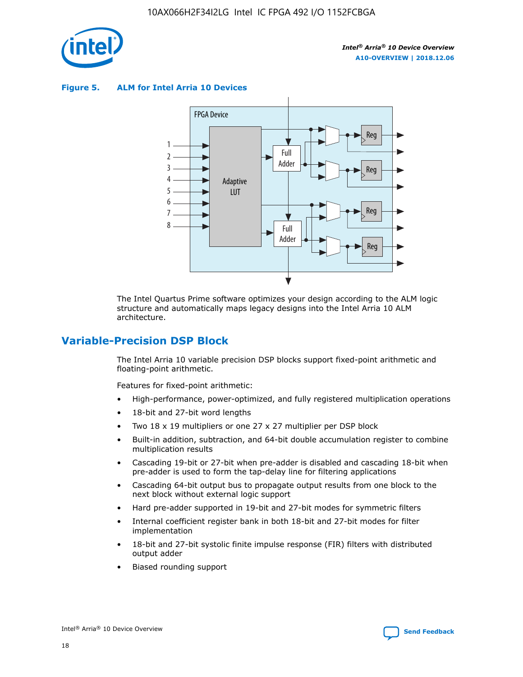

**Figure 5. ALM for Intel Arria 10 Devices**



The Intel Quartus Prime software optimizes your design according to the ALM logic structure and automatically maps legacy designs into the Intel Arria 10 ALM architecture.

# **Variable-Precision DSP Block**

The Intel Arria 10 variable precision DSP blocks support fixed-point arithmetic and floating-point arithmetic.

Features for fixed-point arithmetic:

- High-performance, power-optimized, and fully registered multiplication operations
- 18-bit and 27-bit word lengths
- Two 18 x 19 multipliers or one 27 x 27 multiplier per DSP block
- Built-in addition, subtraction, and 64-bit double accumulation register to combine multiplication results
- Cascading 19-bit or 27-bit when pre-adder is disabled and cascading 18-bit when pre-adder is used to form the tap-delay line for filtering applications
- Cascading 64-bit output bus to propagate output results from one block to the next block without external logic support
- Hard pre-adder supported in 19-bit and 27-bit modes for symmetric filters
- Internal coefficient register bank in both 18-bit and 27-bit modes for filter implementation
- 18-bit and 27-bit systolic finite impulse response (FIR) filters with distributed output adder
- Biased rounding support

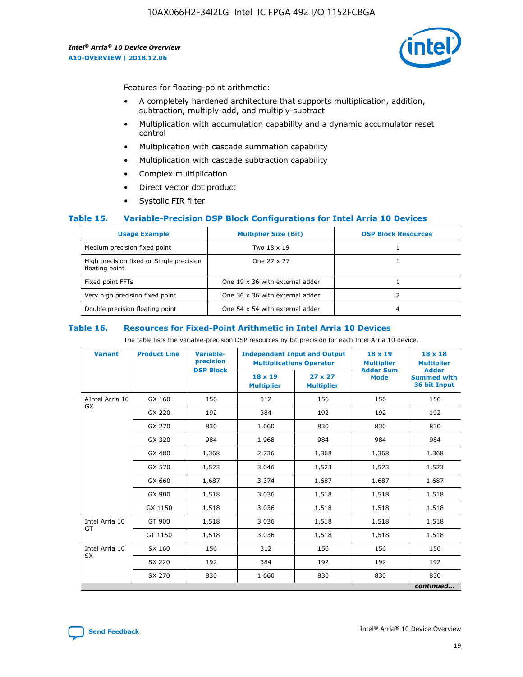

Features for floating-point arithmetic:

- A completely hardened architecture that supports multiplication, addition, subtraction, multiply-add, and multiply-subtract
- Multiplication with accumulation capability and a dynamic accumulator reset control
- Multiplication with cascade summation capability
- Multiplication with cascade subtraction capability
- Complex multiplication
- Direct vector dot product
- Systolic FIR filter

### **Table 15. Variable-Precision DSP Block Configurations for Intel Arria 10 Devices**

| <b>Usage Example</b>                                       | <b>Multiplier Size (Bit)</b>    | <b>DSP Block Resources</b> |
|------------------------------------------------------------|---------------------------------|----------------------------|
| Medium precision fixed point                               | Two 18 x 19                     |                            |
| High precision fixed or Single precision<br>floating point | One 27 x 27                     |                            |
| Fixed point FFTs                                           | One 19 x 36 with external adder |                            |
| Very high precision fixed point                            | One 36 x 36 with external adder |                            |
| Double precision floating point                            | One 54 x 54 with external adder | 4                          |

#### **Table 16. Resources for Fixed-Point Arithmetic in Intel Arria 10 Devices**

The table lists the variable-precision DSP resources by bit precision for each Intel Arria 10 device.

| <b>Variant</b>  | <b>Product Line</b> | Variable-<br>precision | <b>Independent Input and Output</b><br><b>Multiplications Operator</b> |                                     | $18 \times 19$<br><b>Multiplier</b><br><b>Adder Sum</b> | $18 \times 18$<br><b>Multiplier</b>                |
|-----------------|---------------------|------------------------|------------------------------------------------------------------------|-------------------------------------|---------------------------------------------------------|----------------------------------------------------|
|                 |                     | <b>DSP Block</b>       | $18 \times 19$<br><b>Multiplier</b>                                    | $27 \times 27$<br><b>Multiplier</b> | <b>Mode</b>                                             | <b>Adder</b><br><b>Summed with</b><br>36 bit Input |
| AIntel Arria 10 | GX 160              | 156                    | 312                                                                    | 156                                 | 156                                                     | 156                                                |
| <b>GX</b>       | GX 220              | 192                    | 384                                                                    | 192                                 | 192                                                     | 192                                                |
|                 | GX 270              | 830                    | 1,660                                                                  | 830                                 | 830                                                     | 830                                                |
|                 | GX 320              | 984                    | 1,968                                                                  | 984                                 | 984                                                     | 984                                                |
|                 | GX 480              | 1,368                  | 2,736                                                                  | 1,368                               | 1,368                                                   | 1,368                                              |
|                 | GX 570              | 1,523                  | 3,046                                                                  | 1,523                               | 1,523                                                   | 1,523                                              |
|                 | GX 660              | 1,687                  | 3,374                                                                  | 1,687                               | 1,687                                                   | 1,687                                              |
|                 | GX 900              | 1,518                  | 3,036                                                                  | 1,518                               | 1,518                                                   | 1,518                                              |
|                 | GX 1150             | 1,518                  | 3,036                                                                  | 1,518                               | 1,518                                                   | 1,518                                              |
| Intel Arria 10  | GT 900              | 1,518                  | 3,036                                                                  | 1,518                               | 1,518                                                   | 1,518                                              |
| GT              | GT 1150             | 1,518                  | 3,036                                                                  | 1,518                               | 1,518                                                   | 1,518                                              |
| Intel Arria 10  | SX 160              | 156                    | 312                                                                    | 156                                 | 156                                                     | 156                                                |
| <b>SX</b>       | SX 220              | 192                    | 384                                                                    | 192                                 | 192                                                     | 192                                                |
|                 | SX 270              | 830                    | 1,660                                                                  | 830                                 | 830                                                     | 830                                                |
|                 |                     |                        |                                                                        |                                     |                                                         | continued                                          |

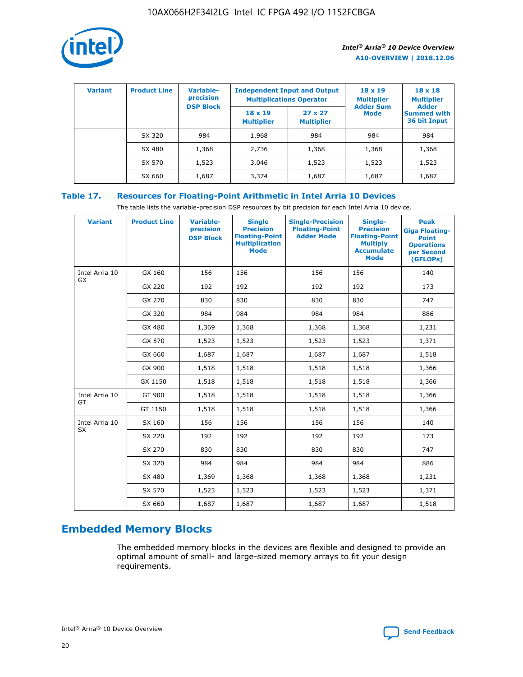

| <b>Variant</b> | <b>Product Line</b> | <b>Variable-</b><br>precision<br><b>DSP Block</b> | <b>Independent Input and Output</b><br><b>Multiplications Operator</b> |                                     | $18 \times 19$<br><b>Multiplier</b><br><b>Adder Sum</b> | $18 \times 18$<br><b>Multiplier</b><br><b>Adder</b> |  |
|----------------|---------------------|---------------------------------------------------|------------------------------------------------------------------------|-------------------------------------|---------------------------------------------------------|-----------------------------------------------------|--|
|                |                     |                                                   | $18 \times 19$<br><b>Multiplier</b>                                    | $27 \times 27$<br><b>Multiplier</b> | <b>Mode</b>                                             | <b>Summed with</b><br>36 bit Input                  |  |
|                | SX 320              | 984                                               | 1,968                                                                  | 984                                 | 984                                                     | 984                                                 |  |
|                | SX 480              | 1,368                                             | 2,736                                                                  | 1,368                               | 1,368                                                   | 1,368                                               |  |
|                | SX 570              | 1,523                                             | 3,046                                                                  | 1,523                               | 1,523                                                   | 1,523                                               |  |
|                | SX 660              | 1,687                                             | 3,374                                                                  | 1,687                               | 1,687                                                   | 1,687                                               |  |

# **Table 17. Resources for Floating-Point Arithmetic in Intel Arria 10 Devices**

The table lists the variable-precision DSP resources by bit precision for each Intel Arria 10 device.

| <b>Variant</b> | <b>Product Line</b> | <b>Variable-</b><br>precision<br><b>DSP Block</b> | <b>Single</b><br><b>Precision</b><br><b>Floating-Point</b><br><b>Multiplication</b><br><b>Mode</b> | <b>Single-Precision</b><br><b>Floating-Point</b><br><b>Adder Mode</b> | Single-<br><b>Precision</b><br><b>Floating-Point</b><br><b>Multiply</b><br><b>Accumulate</b><br><b>Mode</b> | <b>Peak</b><br><b>Giga Floating-</b><br><b>Point</b><br><b>Operations</b><br>per Second<br>(GFLOPs) |
|----------------|---------------------|---------------------------------------------------|----------------------------------------------------------------------------------------------------|-----------------------------------------------------------------------|-------------------------------------------------------------------------------------------------------------|-----------------------------------------------------------------------------------------------------|
| Intel Arria 10 | GX 160              | 156                                               | 156                                                                                                | 156                                                                   | 156                                                                                                         | 140                                                                                                 |
| GX             | GX 220              | 192                                               | 192                                                                                                | 192                                                                   | 192                                                                                                         | 173                                                                                                 |
|                | GX 270              | 830                                               | 830                                                                                                | 830                                                                   | 830                                                                                                         | 747                                                                                                 |
|                | GX 320              | 984                                               | 984                                                                                                | 984                                                                   | 984                                                                                                         | 886                                                                                                 |
|                | GX 480              | 1,369                                             | 1,368                                                                                              | 1,368                                                                 | 1,368                                                                                                       | 1,231                                                                                               |
|                | GX 570              | 1,523                                             | 1,523                                                                                              | 1,523                                                                 | 1,523                                                                                                       | 1,371                                                                                               |
|                | GX 660              | 1,687                                             | 1,687                                                                                              | 1,687                                                                 | 1,687                                                                                                       | 1,518                                                                                               |
|                | GX 900              | 1,518                                             | 1,518                                                                                              | 1,518                                                                 | 1,518                                                                                                       | 1,366                                                                                               |
|                | GX 1150             | 1,518                                             | 1,518                                                                                              | 1,518                                                                 | 1,518                                                                                                       | 1,366                                                                                               |
| Intel Arria 10 | GT 900              | 1,518                                             | 1,518                                                                                              | 1,518                                                                 | 1,518                                                                                                       | 1,366                                                                                               |
| GT             | GT 1150             | 1,518                                             | 1,518                                                                                              | 1,518                                                                 | 1,518                                                                                                       | 1,366                                                                                               |
| Intel Arria 10 | SX 160              | 156                                               | 156                                                                                                | 156                                                                   | 156                                                                                                         | 140                                                                                                 |
| <b>SX</b>      | SX 220              | 192                                               | 192                                                                                                | 192                                                                   | 192                                                                                                         | 173                                                                                                 |
|                | SX 270              | 830                                               | 830                                                                                                | 830                                                                   | 830                                                                                                         | 747                                                                                                 |
|                | SX 320              | 984                                               | 984                                                                                                | 984                                                                   | 984                                                                                                         | 886                                                                                                 |
|                | SX 480              | 1,369                                             | 1,368                                                                                              | 1,368                                                                 | 1,368                                                                                                       | 1,231                                                                                               |
|                | SX 570              | 1,523                                             | 1,523                                                                                              | 1,523                                                                 | 1,523                                                                                                       | 1,371                                                                                               |
|                | SX 660              | 1,687                                             | 1,687                                                                                              | 1,687                                                                 | 1,687                                                                                                       | 1,518                                                                                               |

# **Embedded Memory Blocks**

The embedded memory blocks in the devices are flexible and designed to provide an optimal amount of small- and large-sized memory arrays to fit your design requirements.

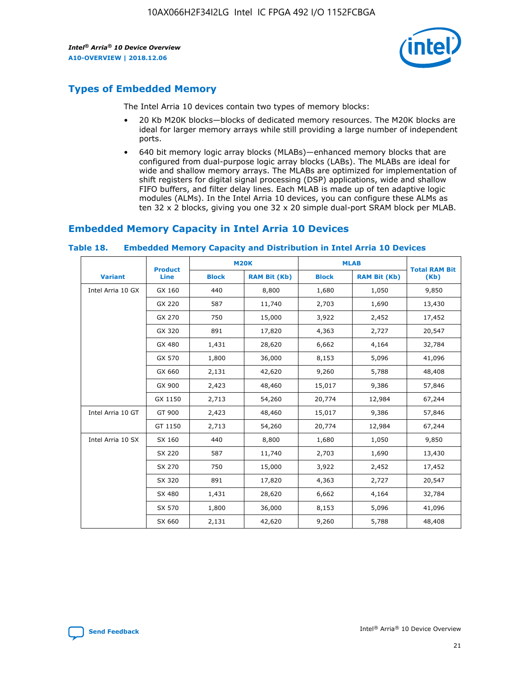

# **Types of Embedded Memory**

The Intel Arria 10 devices contain two types of memory blocks:

- 20 Kb M20K blocks—blocks of dedicated memory resources. The M20K blocks are ideal for larger memory arrays while still providing a large number of independent ports.
- 640 bit memory logic array blocks (MLABs)—enhanced memory blocks that are configured from dual-purpose logic array blocks (LABs). The MLABs are ideal for wide and shallow memory arrays. The MLABs are optimized for implementation of shift registers for digital signal processing (DSP) applications, wide and shallow FIFO buffers, and filter delay lines. Each MLAB is made up of ten adaptive logic modules (ALMs). In the Intel Arria 10 devices, you can configure these ALMs as ten 32 x 2 blocks, giving you one 32 x 20 simple dual-port SRAM block per MLAB.

# **Embedded Memory Capacity in Intel Arria 10 Devices**

|                   | <b>Product</b> |              | <b>M20K</b>         | <b>MLAB</b>  |                     | <b>Total RAM Bit</b> |
|-------------------|----------------|--------------|---------------------|--------------|---------------------|----------------------|
| <b>Variant</b>    | Line           | <b>Block</b> | <b>RAM Bit (Kb)</b> | <b>Block</b> | <b>RAM Bit (Kb)</b> | (Kb)                 |
| Intel Arria 10 GX | GX 160         | 440          | 8,800               | 1,680        | 1,050               | 9,850                |
|                   | GX 220         | 587          | 11,740              | 2,703        | 1,690               | 13,430               |
|                   | GX 270         | 750          | 15,000              | 3,922        | 2,452               | 17,452               |
|                   | GX 320         | 891          | 17,820              | 4,363        | 2,727               | 20,547               |
|                   | GX 480         | 1,431        | 28,620              | 6,662        | 4,164               | 32,784               |
|                   | GX 570         | 1,800        | 36,000              | 8,153        | 5,096               | 41,096               |
|                   | GX 660         | 2,131        | 42,620              | 9,260        | 5,788               | 48,408               |
|                   | GX 900         | 2,423        | 48,460              | 15,017       | 9,386               | 57,846               |
|                   | GX 1150        | 2,713        | 54,260              | 20,774       | 12,984              | 67,244               |
| Intel Arria 10 GT | GT 900         | 2,423        | 48,460              | 15,017       | 9,386               | 57,846               |
|                   | GT 1150        | 2,713        | 54,260              | 20,774       | 12,984              | 67,244               |
| Intel Arria 10 SX | SX 160         | 440          | 8,800               | 1,680        | 1,050               | 9,850                |
|                   | SX 220         | 587          | 11,740              | 2,703        | 1,690               | 13,430               |
|                   | SX 270         | 750          | 15,000              | 3,922        | 2,452               | 17,452               |
|                   | SX 320         | 891          | 17,820              | 4,363        | 2,727               | 20,547               |
|                   | SX 480         | 1,431        | 28,620              | 6,662        | 4,164               | 32,784               |
|                   | SX 570         | 1,800        | 36,000              | 8,153        | 5,096               | 41,096               |
|                   | SX 660         | 2,131        | 42,620              | 9,260        | 5,788               | 48,408               |

#### **Table 18. Embedded Memory Capacity and Distribution in Intel Arria 10 Devices**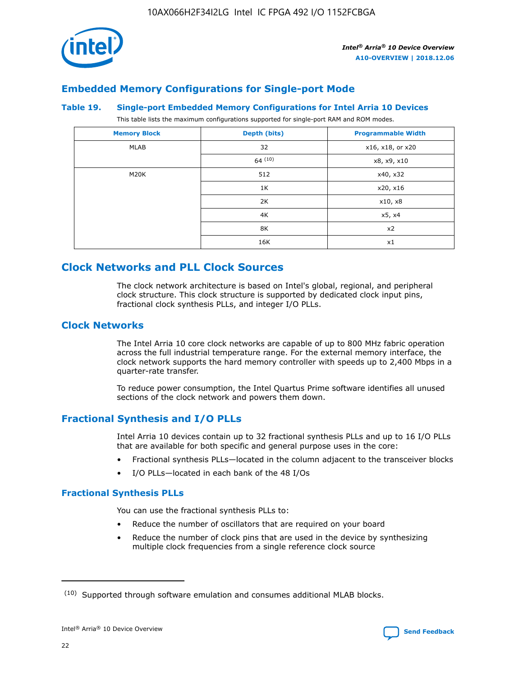

# **Embedded Memory Configurations for Single-port Mode**

#### **Table 19. Single-port Embedded Memory Configurations for Intel Arria 10 Devices**

This table lists the maximum configurations supported for single-port RAM and ROM modes.

| <b>Memory Block</b> | Depth (bits) | <b>Programmable Width</b> |
|---------------------|--------------|---------------------------|
| MLAB                | 32           | x16, x18, or x20          |
|                     | 64(10)       | x8, x9, x10               |
| M20K                | 512          | x40, x32                  |
|                     | 1K           | x20, x16                  |
|                     | 2K           | x10, x8                   |
|                     | 4K           | x5, x4                    |
|                     | 8K           | x2                        |
|                     | 16K          | x1                        |

# **Clock Networks and PLL Clock Sources**

The clock network architecture is based on Intel's global, regional, and peripheral clock structure. This clock structure is supported by dedicated clock input pins, fractional clock synthesis PLLs, and integer I/O PLLs.

# **Clock Networks**

The Intel Arria 10 core clock networks are capable of up to 800 MHz fabric operation across the full industrial temperature range. For the external memory interface, the clock network supports the hard memory controller with speeds up to 2,400 Mbps in a quarter-rate transfer.

To reduce power consumption, the Intel Quartus Prime software identifies all unused sections of the clock network and powers them down.

## **Fractional Synthesis and I/O PLLs**

Intel Arria 10 devices contain up to 32 fractional synthesis PLLs and up to 16 I/O PLLs that are available for both specific and general purpose uses in the core:

- Fractional synthesis PLLs—located in the column adjacent to the transceiver blocks
- I/O PLLs—located in each bank of the 48 I/Os

## **Fractional Synthesis PLLs**

You can use the fractional synthesis PLLs to:

- Reduce the number of oscillators that are required on your board
- Reduce the number of clock pins that are used in the device by synthesizing multiple clock frequencies from a single reference clock source

<sup>(10)</sup> Supported through software emulation and consumes additional MLAB blocks.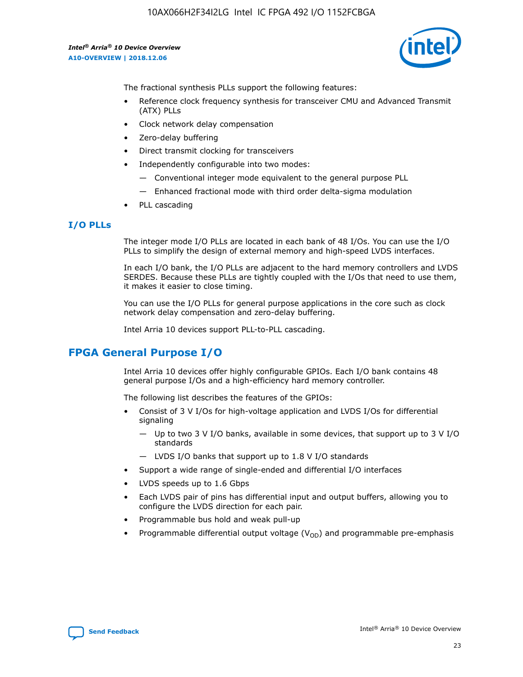

The fractional synthesis PLLs support the following features:

- Reference clock frequency synthesis for transceiver CMU and Advanced Transmit (ATX) PLLs
- Clock network delay compensation
- Zero-delay buffering
- Direct transmit clocking for transceivers
- Independently configurable into two modes:
	- Conventional integer mode equivalent to the general purpose PLL
	- Enhanced fractional mode with third order delta-sigma modulation
- PLL cascading

## **I/O PLLs**

The integer mode I/O PLLs are located in each bank of 48 I/Os. You can use the I/O PLLs to simplify the design of external memory and high-speed LVDS interfaces.

In each I/O bank, the I/O PLLs are adjacent to the hard memory controllers and LVDS SERDES. Because these PLLs are tightly coupled with the I/Os that need to use them, it makes it easier to close timing.

You can use the I/O PLLs for general purpose applications in the core such as clock network delay compensation and zero-delay buffering.

Intel Arria 10 devices support PLL-to-PLL cascading.

# **FPGA General Purpose I/O**

Intel Arria 10 devices offer highly configurable GPIOs. Each I/O bank contains 48 general purpose I/Os and a high-efficiency hard memory controller.

The following list describes the features of the GPIOs:

- Consist of 3 V I/Os for high-voltage application and LVDS I/Os for differential signaling
	- Up to two 3 V I/O banks, available in some devices, that support up to 3 V I/O standards
	- LVDS I/O banks that support up to 1.8 V I/O standards
- Support a wide range of single-ended and differential I/O interfaces
- LVDS speeds up to 1.6 Gbps
- Each LVDS pair of pins has differential input and output buffers, allowing you to configure the LVDS direction for each pair.
- Programmable bus hold and weak pull-up
- Programmable differential output voltage  $(V_{OD})$  and programmable pre-emphasis

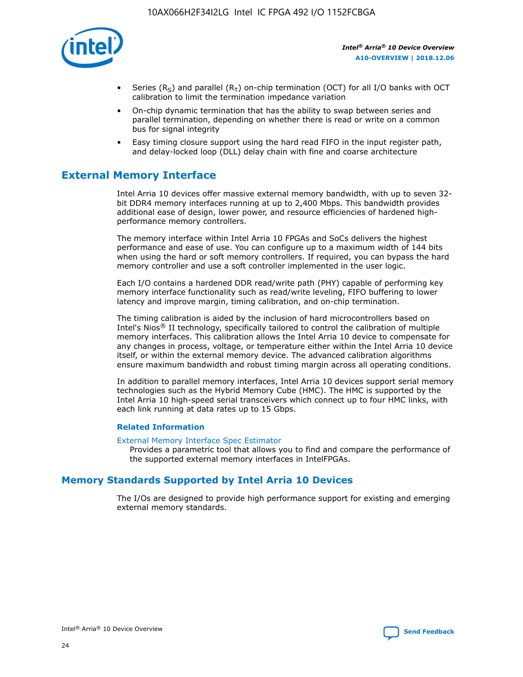

- Series (R<sub>S</sub>) and parallel (R<sub>T</sub>) on-chip termination (OCT) for all I/O banks with OCT calibration to limit the termination impedance variation
- On-chip dynamic termination that has the ability to swap between series and parallel termination, depending on whether there is read or write on a common bus for signal integrity
- Easy timing closure support using the hard read FIFO in the input register path, and delay-locked loop (DLL) delay chain with fine and coarse architecture

# **External Memory Interface**

Intel Arria 10 devices offer massive external memory bandwidth, with up to seven 32 bit DDR4 memory interfaces running at up to 2,400 Mbps. This bandwidth provides additional ease of design, lower power, and resource efficiencies of hardened highperformance memory controllers.

The memory interface within Intel Arria 10 FPGAs and SoCs delivers the highest performance and ease of use. You can configure up to a maximum width of 144 bits when using the hard or soft memory controllers. If required, you can bypass the hard memory controller and use a soft controller implemented in the user logic.

Each I/O contains a hardened DDR read/write path (PHY) capable of performing key memory interface functionality such as read/write leveling, FIFO buffering to lower latency and improve margin, timing calibration, and on-chip termination.

The timing calibration is aided by the inclusion of hard microcontrollers based on Intel's Nios® II technology, specifically tailored to control the calibration of multiple memory interfaces. This calibration allows the Intel Arria 10 device to compensate for any changes in process, voltage, or temperature either within the Intel Arria 10 device itself, or within the external memory device. The advanced calibration algorithms ensure maximum bandwidth and robust timing margin across all operating conditions.

In addition to parallel memory interfaces, Intel Arria 10 devices support serial memory technologies such as the Hybrid Memory Cube (HMC). The HMC is supported by the Intel Arria 10 high-speed serial transceivers which connect up to four HMC links, with each link running at data rates up to 15 Gbps.

### **Related Information**

#### [External Memory Interface Spec Estimator](http://www.altera.com/technology/memory/estimator/mem-emif-index.html)

Provides a parametric tool that allows you to find and compare the performance of the supported external memory interfaces in IntelFPGAs.

# **Memory Standards Supported by Intel Arria 10 Devices**

The I/Os are designed to provide high performance support for existing and emerging external memory standards.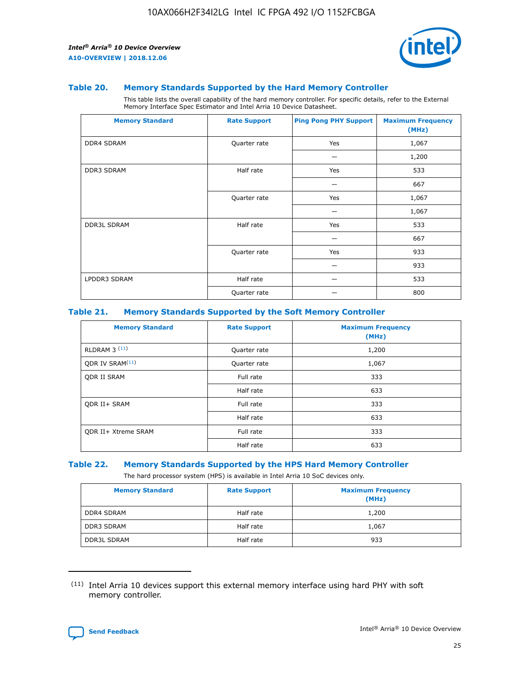

#### **Table 20. Memory Standards Supported by the Hard Memory Controller**

This table lists the overall capability of the hard memory controller. For specific details, refer to the External Memory Interface Spec Estimator and Intel Arria 10 Device Datasheet.

| <b>Memory Standard</b> | <b>Rate Support</b> | <b>Ping Pong PHY Support</b> | <b>Maximum Frequency</b><br>(MHz) |
|------------------------|---------------------|------------------------------|-----------------------------------|
| <b>DDR4 SDRAM</b>      | Quarter rate        | Yes                          | 1,067                             |
|                        |                     |                              | 1,200                             |
| DDR3 SDRAM             | Half rate           | Yes                          | 533                               |
|                        |                     |                              | 667                               |
|                        | Quarter rate        | Yes                          | 1,067                             |
|                        |                     |                              | 1,067                             |
| <b>DDR3L SDRAM</b>     | Half rate           | Yes                          | 533                               |
|                        |                     |                              | 667                               |
|                        | Quarter rate        | Yes                          | 933                               |
|                        |                     |                              | 933                               |
| LPDDR3 SDRAM           | Half rate           |                              | 533                               |
|                        | Quarter rate        |                              | 800                               |

### **Table 21. Memory Standards Supported by the Soft Memory Controller**

| <b>Memory Standard</b>      | <b>Rate Support</b> | <b>Maximum Frequency</b><br>(MHz) |
|-----------------------------|---------------------|-----------------------------------|
| <b>RLDRAM 3 (11)</b>        | Quarter rate        | 1,200                             |
| ODR IV SRAM <sup>(11)</sup> | Quarter rate        | 1,067                             |
| <b>ODR II SRAM</b>          | Full rate           | 333                               |
|                             | Half rate           | 633                               |
| <b>ODR II+ SRAM</b>         | Full rate           | 333                               |
|                             | Half rate           | 633                               |
| <b>ODR II+ Xtreme SRAM</b>  | Full rate           | 333                               |
|                             | Half rate           | 633                               |

#### **Table 22. Memory Standards Supported by the HPS Hard Memory Controller**

The hard processor system (HPS) is available in Intel Arria 10 SoC devices only.

| <b>Memory Standard</b> | <b>Rate Support</b> | <b>Maximum Frequency</b><br>(MHz) |
|------------------------|---------------------|-----------------------------------|
| <b>DDR4 SDRAM</b>      | Half rate           | 1,200                             |
| <b>DDR3 SDRAM</b>      | Half rate           | 1,067                             |
| <b>DDR3L SDRAM</b>     | Half rate           | 933                               |

<sup>(11)</sup> Intel Arria 10 devices support this external memory interface using hard PHY with soft memory controller.

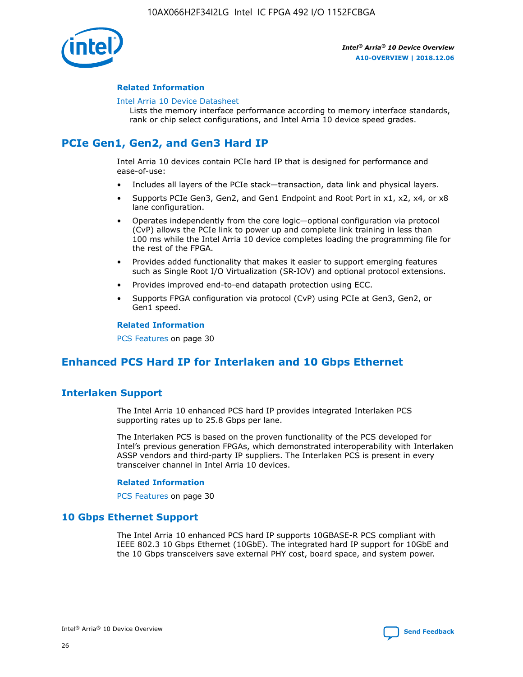

### **Related Information**

#### [Intel Arria 10 Device Datasheet](https://www.intel.com/content/www/us/en/programmable/documentation/mcn1413182292568.html#mcn1413182153340)

Lists the memory interface performance according to memory interface standards, rank or chip select configurations, and Intel Arria 10 device speed grades.

# **PCIe Gen1, Gen2, and Gen3 Hard IP**

Intel Arria 10 devices contain PCIe hard IP that is designed for performance and ease-of-use:

- Includes all layers of the PCIe stack—transaction, data link and physical layers.
- Supports PCIe Gen3, Gen2, and Gen1 Endpoint and Root Port in x1, x2, x4, or x8 lane configuration.
- Operates independently from the core logic—optional configuration via protocol (CvP) allows the PCIe link to power up and complete link training in less than 100 ms while the Intel Arria 10 device completes loading the programming file for the rest of the FPGA.
- Provides added functionality that makes it easier to support emerging features such as Single Root I/O Virtualization (SR-IOV) and optional protocol extensions.
- Provides improved end-to-end datapath protection using ECC.
- Supports FPGA configuration via protocol (CvP) using PCIe at Gen3, Gen2, or Gen1 speed.

#### **Related Information**

PCS Features on page 30

# **Enhanced PCS Hard IP for Interlaken and 10 Gbps Ethernet**

# **Interlaken Support**

The Intel Arria 10 enhanced PCS hard IP provides integrated Interlaken PCS supporting rates up to 25.8 Gbps per lane.

The Interlaken PCS is based on the proven functionality of the PCS developed for Intel's previous generation FPGAs, which demonstrated interoperability with Interlaken ASSP vendors and third-party IP suppliers. The Interlaken PCS is present in every transceiver channel in Intel Arria 10 devices.

### **Related Information**

PCS Features on page 30

## **10 Gbps Ethernet Support**

The Intel Arria 10 enhanced PCS hard IP supports 10GBASE-R PCS compliant with IEEE 802.3 10 Gbps Ethernet (10GbE). The integrated hard IP support for 10GbE and the 10 Gbps transceivers save external PHY cost, board space, and system power.

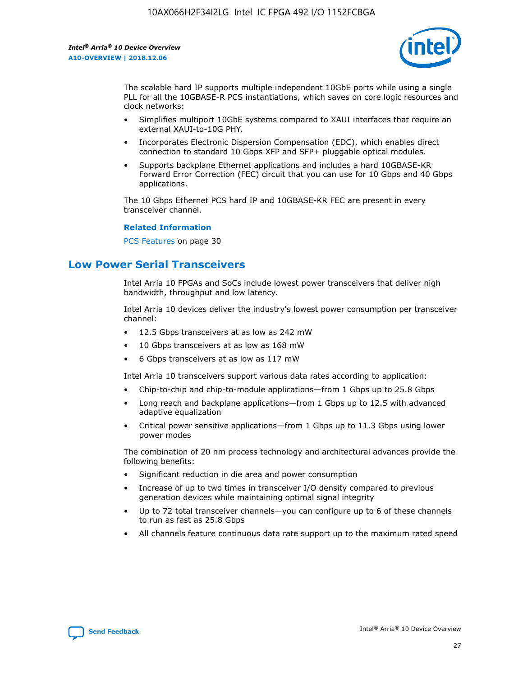

The scalable hard IP supports multiple independent 10GbE ports while using a single PLL for all the 10GBASE-R PCS instantiations, which saves on core logic resources and clock networks:

- Simplifies multiport 10GbE systems compared to XAUI interfaces that require an external XAUI-to-10G PHY.
- Incorporates Electronic Dispersion Compensation (EDC), which enables direct connection to standard 10 Gbps XFP and SFP+ pluggable optical modules.
- Supports backplane Ethernet applications and includes a hard 10GBASE-KR Forward Error Correction (FEC) circuit that you can use for 10 Gbps and 40 Gbps applications.

The 10 Gbps Ethernet PCS hard IP and 10GBASE-KR FEC are present in every transceiver channel.

#### **Related Information**

PCS Features on page 30

# **Low Power Serial Transceivers**

Intel Arria 10 FPGAs and SoCs include lowest power transceivers that deliver high bandwidth, throughput and low latency.

Intel Arria 10 devices deliver the industry's lowest power consumption per transceiver channel:

- 12.5 Gbps transceivers at as low as 242 mW
- 10 Gbps transceivers at as low as 168 mW
- 6 Gbps transceivers at as low as 117 mW

Intel Arria 10 transceivers support various data rates according to application:

- Chip-to-chip and chip-to-module applications—from 1 Gbps up to 25.8 Gbps
- Long reach and backplane applications—from 1 Gbps up to 12.5 with advanced adaptive equalization
- Critical power sensitive applications—from 1 Gbps up to 11.3 Gbps using lower power modes

The combination of 20 nm process technology and architectural advances provide the following benefits:

- Significant reduction in die area and power consumption
- Increase of up to two times in transceiver I/O density compared to previous generation devices while maintaining optimal signal integrity
- Up to 72 total transceiver channels—you can configure up to 6 of these channels to run as fast as 25.8 Gbps
- All channels feature continuous data rate support up to the maximum rated speed

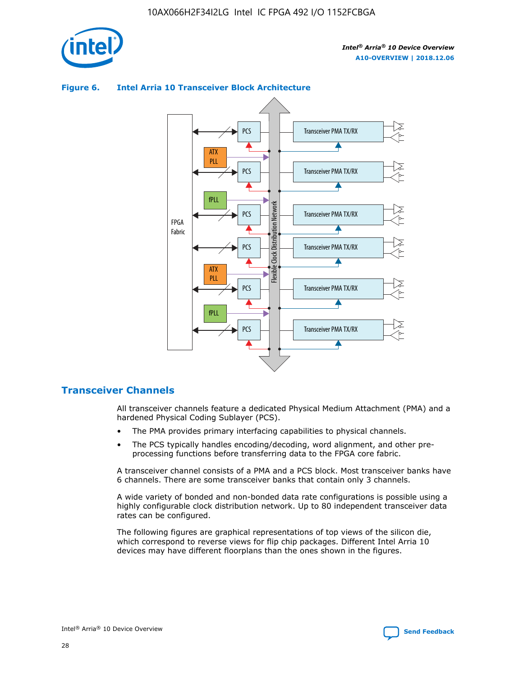



## **Figure 6. Intel Arria 10 Transceiver Block Architecture**

# **Transceiver Channels**

All transceiver channels feature a dedicated Physical Medium Attachment (PMA) and a hardened Physical Coding Sublayer (PCS).

- The PMA provides primary interfacing capabilities to physical channels.
- The PCS typically handles encoding/decoding, word alignment, and other preprocessing functions before transferring data to the FPGA core fabric.

A transceiver channel consists of a PMA and a PCS block. Most transceiver banks have 6 channels. There are some transceiver banks that contain only 3 channels.

A wide variety of bonded and non-bonded data rate configurations is possible using a highly configurable clock distribution network. Up to 80 independent transceiver data rates can be configured.

The following figures are graphical representations of top views of the silicon die, which correspond to reverse views for flip chip packages. Different Intel Arria 10 devices may have different floorplans than the ones shown in the figures.

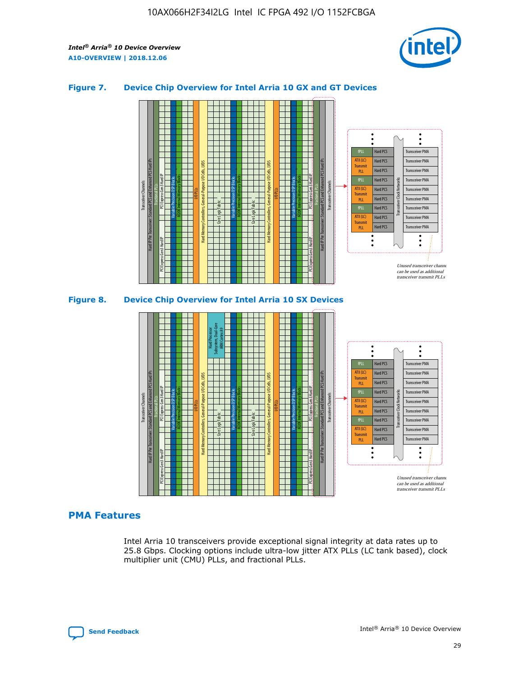

## **Figure 7. Device Chip Overview for Intel Arria 10 GX and GT Devices**



M20K Internal Memory Blocks Core Logic Fabric Transceiver Channels Hard IP Per Transceiver: Standard PCS and Enhanced PCS Hard IPs PCI Express Gen3 Hard IP Fractional PLLs M20K Internal Memory Blocks PCI Express Gen3 Hard IP Variable Precision DSP Blocks I/O PLLs Hard Memory Controllers, General-Purpose I/O Cells, LVDS Hard Processor Subsystem, Dual-Core ARM Cortex A9 M20K Internal Memory Blocks Variable Precision DSP Blocks M20K Internal Memory Blocks Core Logic Fabric I/O PLLs Hard Memory Controllers, General-Purpose I/O Cells, LVDS M20K Internal Memory Blocks Variable Precision DSP Blocks M20K Internal Memory Blocks Transceiver Channels Hard IP Per Transceiver: Standard PCS and Enhanced PCS Hard IPs PCI Express Gen3 Hard IP Fractional PLLs PCI Express Gen3 Hard IP  $\ddot{\cdot}$ Hard PCS Transceiver PMA fPLL ATX (LC) Hard PCS Transceiver PMA **Transmit** Hard PCS Transceiver PMA PLL fPLL Hard PCS Transceiver PMA Transceiver Clock Networks ATX (LC) Hard PCS Transceiver PMA Transmi Hard PCS Transceiver PMA PLL fPLL Hard PCS Transceiver PMA Transceiver PMA Hard PCS ATX (LC) **Transmit** Hard PCS Transceiver PMA PLL Unused transceiver chann can be used as additional transceiver transmit PLLs

## **PMA Features**

Intel Arria 10 transceivers provide exceptional signal integrity at data rates up to 25.8 Gbps. Clocking options include ultra-low jitter ATX PLLs (LC tank based), clock multiplier unit (CMU) PLLs, and fractional PLLs.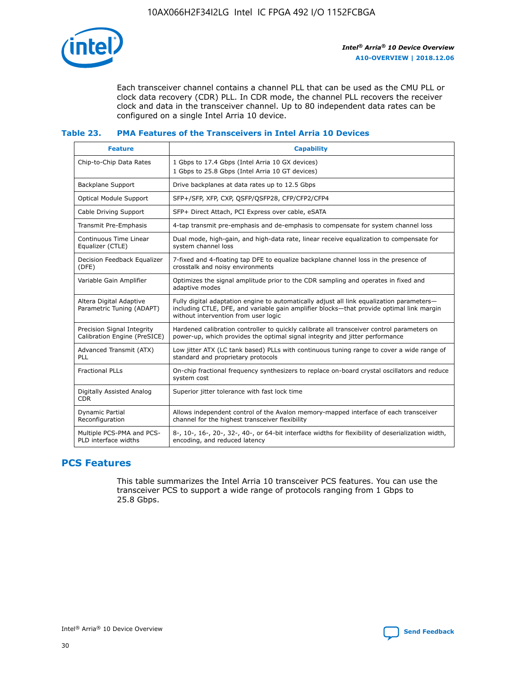

Each transceiver channel contains a channel PLL that can be used as the CMU PLL or clock data recovery (CDR) PLL. In CDR mode, the channel PLL recovers the receiver clock and data in the transceiver channel. Up to 80 independent data rates can be configured on a single Intel Arria 10 device.

## **Table 23. PMA Features of the Transceivers in Intel Arria 10 Devices**

| <b>Feature</b>                                             | <b>Capability</b>                                                                                                                                                                                                             |
|------------------------------------------------------------|-------------------------------------------------------------------------------------------------------------------------------------------------------------------------------------------------------------------------------|
| Chip-to-Chip Data Rates                                    | 1 Gbps to 17.4 Gbps (Intel Arria 10 GX devices)<br>1 Gbps to 25.8 Gbps (Intel Arria 10 GT devices)                                                                                                                            |
| Backplane Support                                          | Drive backplanes at data rates up to 12.5 Gbps                                                                                                                                                                                |
| Optical Module Support                                     | SFP+/SFP, XFP, CXP, QSFP/QSFP28, CFP/CFP2/CFP4                                                                                                                                                                                |
| Cable Driving Support                                      | SFP+ Direct Attach, PCI Express over cable, eSATA                                                                                                                                                                             |
| Transmit Pre-Emphasis                                      | 4-tap transmit pre-emphasis and de-emphasis to compensate for system channel loss                                                                                                                                             |
| Continuous Time Linear<br>Equalizer (CTLE)                 | Dual mode, high-gain, and high-data rate, linear receive equalization to compensate for<br>system channel loss                                                                                                                |
| Decision Feedback Equalizer<br>(DFE)                       | 7-fixed and 4-floating tap DFE to equalize backplane channel loss in the presence of<br>crosstalk and noisy environments                                                                                                      |
| Variable Gain Amplifier                                    | Optimizes the signal amplitude prior to the CDR sampling and operates in fixed and<br>adaptive modes                                                                                                                          |
| Altera Digital Adaptive<br>Parametric Tuning (ADAPT)       | Fully digital adaptation engine to automatically adjust all link equalization parameters-<br>including CTLE, DFE, and variable gain amplifier blocks—that provide optimal link margin<br>without intervention from user logic |
| Precision Signal Integrity<br>Calibration Engine (PreSICE) | Hardened calibration controller to quickly calibrate all transceiver control parameters on<br>power-up, which provides the optimal signal integrity and jitter performance                                                    |
| Advanced Transmit (ATX)<br><b>PLL</b>                      | Low jitter ATX (LC tank based) PLLs with continuous tuning range to cover a wide range of<br>standard and proprietary protocols                                                                                               |
| <b>Fractional PLLs</b>                                     | On-chip fractional frequency synthesizers to replace on-board crystal oscillators and reduce<br>system cost                                                                                                                   |
| Digitally Assisted Analog<br><b>CDR</b>                    | Superior jitter tolerance with fast lock time                                                                                                                                                                                 |
| Dynamic Partial<br>Reconfiguration                         | Allows independent control of the Avalon memory-mapped interface of each transceiver<br>channel for the highest transceiver flexibility                                                                                       |
| Multiple PCS-PMA and PCS-<br>PLD interface widths          | 8-, 10-, 16-, 20-, 32-, 40-, or 64-bit interface widths for flexibility of deserialization width,<br>encoding, and reduced latency                                                                                            |

# **PCS Features**

This table summarizes the Intel Arria 10 transceiver PCS features. You can use the transceiver PCS to support a wide range of protocols ranging from 1 Gbps to 25.8 Gbps.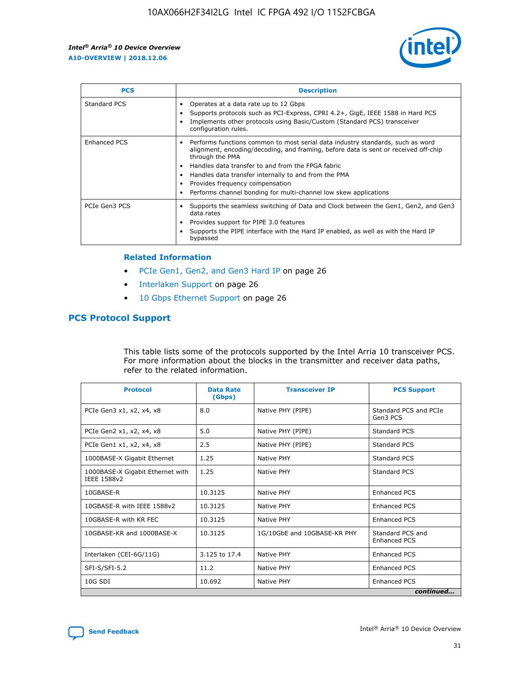

| <b>PCS</b>    | <b>Description</b>                                                                                                                                                                                                                                                                                                                                                                                             |
|---------------|----------------------------------------------------------------------------------------------------------------------------------------------------------------------------------------------------------------------------------------------------------------------------------------------------------------------------------------------------------------------------------------------------------------|
| Standard PCS  | Operates at a data rate up to 12 Gbps<br>Supports protocols such as PCI-Express, CPRI 4.2+, GigE, IEEE 1588 in Hard PCS<br>Implements other protocols using Basic/Custom (Standard PCS) transceiver<br>configuration rules.                                                                                                                                                                                    |
| Enhanced PCS  | Performs functions common to most serial data industry standards, such as word<br>alignment, encoding/decoding, and framing, before data is sent or received off-chip<br>through the PMA<br>• Handles data transfer to and from the FPGA fabric<br>Handles data transfer internally to and from the PMA<br>Provides frequency compensation<br>Performs channel bonding for multi-channel low skew applications |
| PCIe Gen3 PCS | Supports the seamless switching of Data and Clock between the Gen1, Gen2, and Gen3<br>data rates<br>Provides support for PIPE 3.0 features<br>Supports the PIPE interface with the Hard IP enabled, as well as with the Hard IP<br>bypassed                                                                                                                                                                    |

#### **Related Information**

- PCIe Gen1, Gen2, and Gen3 Hard IP on page 26
- Interlaken Support on page 26
- 10 Gbps Ethernet Support on page 26

# **PCS Protocol Support**

This table lists some of the protocols supported by the Intel Arria 10 transceiver PCS. For more information about the blocks in the transmitter and receiver data paths, refer to the related information.

| <b>Protocol</b>                                 | <b>Data Rate</b><br>(Gbps) | <b>Transceiver IP</b>       | <b>PCS Support</b>                      |
|-------------------------------------------------|----------------------------|-----------------------------|-----------------------------------------|
| PCIe Gen3 x1, x2, x4, x8                        | 8.0                        | Native PHY (PIPE)           | Standard PCS and PCIe<br>Gen3 PCS       |
| PCIe Gen2 x1, x2, x4, x8                        | 5.0                        | Native PHY (PIPE)           | <b>Standard PCS</b>                     |
| PCIe Gen1 x1, x2, x4, x8                        | 2.5                        | Native PHY (PIPE)           | Standard PCS                            |
| 1000BASE-X Gigabit Ethernet                     | 1.25                       | Native PHY                  | <b>Standard PCS</b>                     |
| 1000BASE-X Gigabit Ethernet with<br>IEEE 1588v2 | 1.25                       | Native PHY                  | Standard PCS                            |
| 10GBASE-R                                       | 10.3125                    | Native PHY                  | <b>Enhanced PCS</b>                     |
| 10GBASE-R with IEEE 1588v2                      | 10.3125                    | Native PHY                  | <b>Enhanced PCS</b>                     |
| 10GBASE-R with KR FEC                           | 10.3125                    | Native PHY                  | <b>Enhanced PCS</b>                     |
| 10GBASE-KR and 1000BASE-X                       | 10.3125                    | 1G/10GbE and 10GBASE-KR PHY | Standard PCS and<br><b>Enhanced PCS</b> |
| Interlaken (CEI-6G/11G)                         | 3.125 to 17.4              | Native PHY                  | <b>Enhanced PCS</b>                     |
| SFI-S/SFI-5.2                                   | 11.2                       | Native PHY                  | <b>Enhanced PCS</b>                     |
| $10G$ SDI                                       | 10.692                     | Native PHY                  | <b>Enhanced PCS</b>                     |
|                                                 |                            |                             | continued                               |

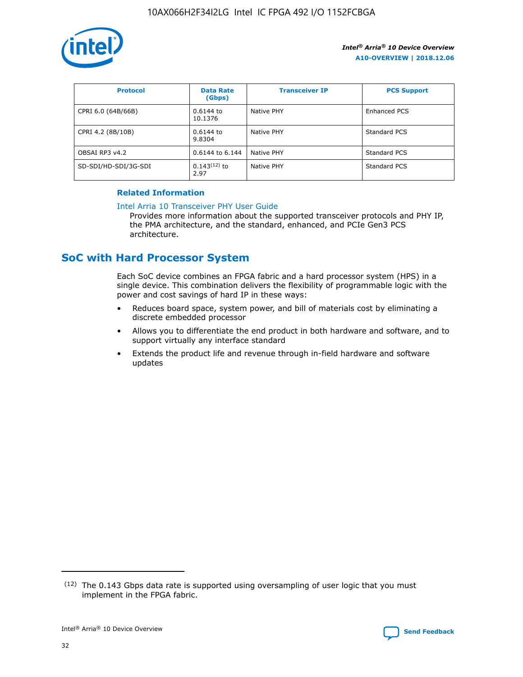

| <b>Protocol</b>      | <b>Data Rate</b><br>(Gbps) | <b>Transceiver IP</b> | <b>PCS Support</b> |
|----------------------|----------------------------|-----------------------|--------------------|
| CPRI 6.0 (64B/66B)   | 0.6144 to<br>10.1376       | Native PHY            | Enhanced PCS       |
| CPRI 4.2 (8B/10B)    | 0.6144 to<br>9.8304        | Native PHY            | Standard PCS       |
| OBSAI RP3 v4.2       | 0.6144 to 6.144            | Native PHY            | Standard PCS       |
| SD-SDI/HD-SDI/3G-SDI | $0.143(12)$ to<br>2.97     | Native PHY            | Standard PCS       |

## **Related Information**

#### [Intel Arria 10 Transceiver PHY User Guide](https://www.intel.com/content/www/us/en/programmable/documentation/nik1398707230472.html#nik1398707091164)

Provides more information about the supported transceiver protocols and PHY IP, the PMA architecture, and the standard, enhanced, and PCIe Gen3 PCS architecture.

# **SoC with Hard Processor System**

Each SoC device combines an FPGA fabric and a hard processor system (HPS) in a single device. This combination delivers the flexibility of programmable logic with the power and cost savings of hard IP in these ways:

- Reduces board space, system power, and bill of materials cost by eliminating a discrete embedded processor
- Allows you to differentiate the end product in both hardware and software, and to support virtually any interface standard
- Extends the product life and revenue through in-field hardware and software updates

<sup>(12)</sup> The 0.143 Gbps data rate is supported using oversampling of user logic that you must implement in the FPGA fabric.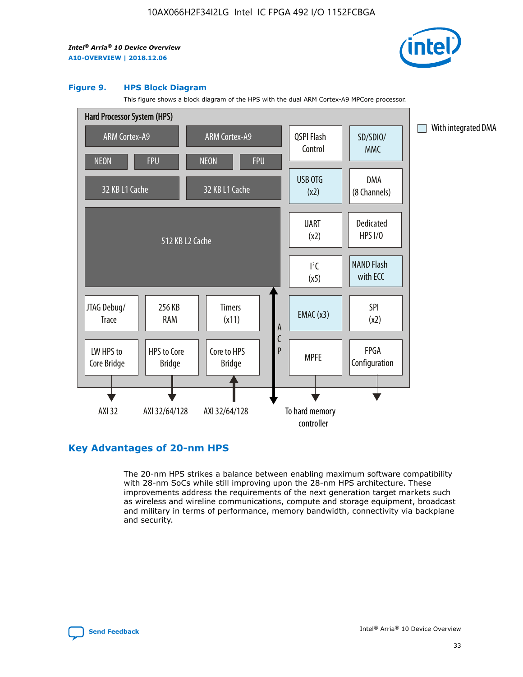

#### **Figure 9. HPS Block Diagram**

This figure shows a block diagram of the HPS with the dual ARM Cortex-A9 MPCore processor.



# **Key Advantages of 20-nm HPS**

The 20-nm HPS strikes a balance between enabling maximum software compatibility with 28-nm SoCs while still improving upon the 28-nm HPS architecture. These improvements address the requirements of the next generation target markets such as wireless and wireline communications, compute and storage equipment, broadcast and military in terms of performance, memory bandwidth, connectivity via backplane and security.

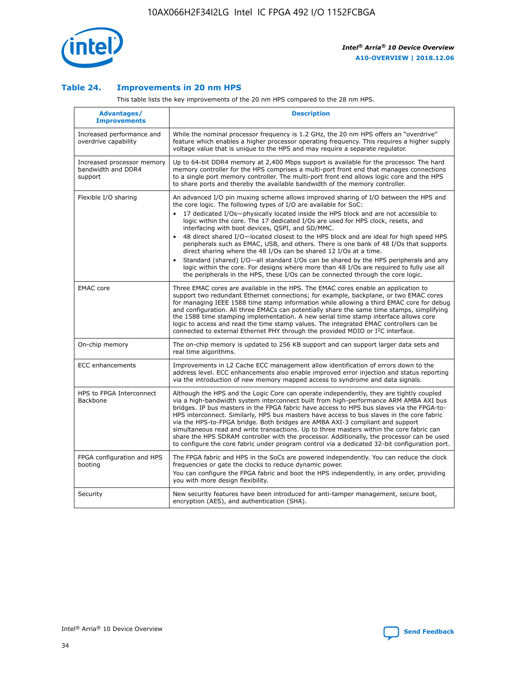

## **Table 24. Improvements in 20 nm HPS**

This table lists the key improvements of the 20 nm HPS compared to the 28 nm HPS.

| <b>Advantages/</b><br><b>Improvements</b>                   | <b>Description</b>                                                                                                                                                                                                                                                                                                                                                                                                                                                                                                                                                                                                                                                                                                                                                                                                                                                                                                      |
|-------------------------------------------------------------|-------------------------------------------------------------------------------------------------------------------------------------------------------------------------------------------------------------------------------------------------------------------------------------------------------------------------------------------------------------------------------------------------------------------------------------------------------------------------------------------------------------------------------------------------------------------------------------------------------------------------------------------------------------------------------------------------------------------------------------------------------------------------------------------------------------------------------------------------------------------------------------------------------------------------|
| Increased performance and<br>overdrive capability           | While the nominal processor frequency is 1.2 GHz, the 20 nm HPS offers an "overdrive"<br>feature which enables a higher processor operating frequency. This requires a higher supply<br>voltage value that is unique to the HPS and may require a separate regulator.                                                                                                                                                                                                                                                                                                                                                                                                                                                                                                                                                                                                                                                   |
| Increased processor memory<br>bandwidth and DDR4<br>support | Up to 64-bit DDR4 memory at 2,400 Mbps support is available for the processor. The hard<br>memory controller for the HPS comprises a multi-port front end that manages connections<br>to a single port memory controller. The multi-port front end allows logic core and the HPS<br>to share ports and thereby the available bandwidth of the memory controller.                                                                                                                                                                                                                                                                                                                                                                                                                                                                                                                                                        |
| Flexible I/O sharing                                        | An advanced I/O pin muxing scheme allows improved sharing of I/O between the HPS and<br>the core logic. The following types of I/O are available for SoC:<br>17 dedicated I/Os-physically located inside the HPS block and are not accessible to<br>logic within the core. The 17 dedicated I/Os are used for HPS clock, resets, and<br>interfacing with boot devices, QSPI, and SD/MMC.<br>48 direct shared I/O-located closest to the HPS block and are ideal for high speed HPS<br>peripherals such as EMAC, USB, and others. There is one bank of 48 I/Os that supports<br>direct sharing where the 48 I/Os can be shared 12 I/Os at a time.<br>Standard (shared) I/O-all standard I/Os can be shared by the HPS peripherals and any<br>logic within the core. For designs where more than 48 I/Os are required to fully use all<br>the peripherals in the HPS, these I/Os can be connected through the core logic. |
| <b>EMAC</b> core                                            | Three EMAC cores are available in the HPS. The EMAC cores enable an application to<br>support two redundant Ethernet connections; for example, backplane, or two EMAC cores<br>for managing IEEE 1588 time stamp information while allowing a third EMAC core for debug<br>and configuration. All three EMACs can potentially share the same time stamps, simplifying<br>the 1588 time stamping implementation. A new serial time stamp interface allows core<br>logic to access and read the time stamp values. The integrated EMAC controllers can be<br>connected to external Ethernet PHY through the provided MDIO or I <sup>2</sup> C interface.                                                                                                                                                                                                                                                                  |
| On-chip memory                                              | The on-chip memory is updated to 256 KB support and can support larger data sets and<br>real time algorithms.                                                                                                                                                                                                                                                                                                                                                                                                                                                                                                                                                                                                                                                                                                                                                                                                           |
| <b>ECC</b> enhancements                                     | Improvements in L2 Cache ECC management allow identification of errors down to the<br>address level. ECC enhancements also enable improved error injection and status reporting<br>via the introduction of new memory mapped access to syndrome and data signals.                                                                                                                                                                                                                                                                                                                                                                                                                                                                                                                                                                                                                                                       |
| HPS to FPGA Interconnect<br><b>Backbone</b>                 | Although the HPS and the Logic Core can operate independently, they are tightly coupled<br>via a high-bandwidth system interconnect built from high-performance ARM AMBA AXI bus<br>bridges. IP bus masters in the FPGA fabric have access to HPS bus slaves via the FPGA-to-<br>HPS interconnect. Similarly, HPS bus masters have access to bus slaves in the core fabric<br>via the HPS-to-FPGA bridge. Both bridges are AMBA AXI-3 compliant and support<br>simultaneous read and write transactions. Up to three masters within the core fabric can<br>share the HPS SDRAM controller with the processor. Additionally, the processor can be used<br>to configure the core fabric under program control via a dedicated 32-bit configuration port.                                                                                                                                                                  |
| FPGA configuration and HPS<br>booting                       | The FPGA fabric and HPS in the SoCs are powered independently. You can reduce the clock<br>frequencies or gate the clocks to reduce dynamic power.<br>You can configure the FPGA fabric and boot the HPS independently, in any order, providing<br>you with more design flexibility.                                                                                                                                                                                                                                                                                                                                                                                                                                                                                                                                                                                                                                    |
| Security                                                    | New security features have been introduced for anti-tamper management, secure boot,<br>encryption (AES), and authentication (SHA).                                                                                                                                                                                                                                                                                                                                                                                                                                                                                                                                                                                                                                                                                                                                                                                      |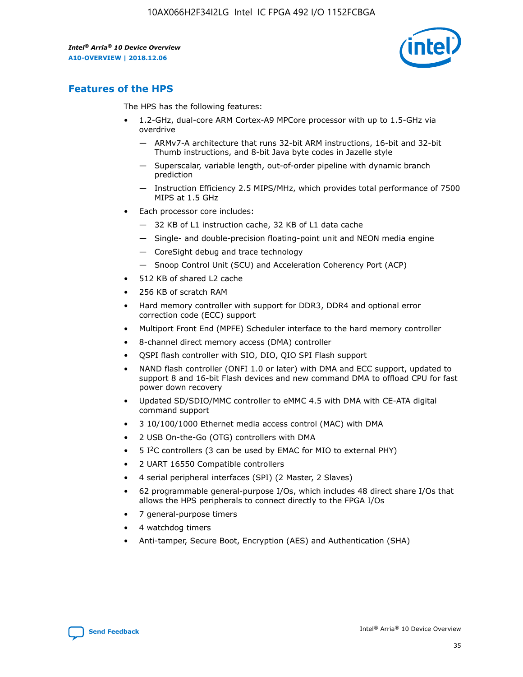

# **Features of the HPS**

The HPS has the following features:

- 1.2-GHz, dual-core ARM Cortex-A9 MPCore processor with up to 1.5-GHz via overdrive
	- ARMv7-A architecture that runs 32-bit ARM instructions, 16-bit and 32-bit Thumb instructions, and 8-bit Java byte codes in Jazelle style
	- Superscalar, variable length, out-of-order pipeline with dynamic branch prediction
	- Instruction Efficiency 2.5 MIPS/MHz, which provides total performance of 7500 MIPS at 1.5 GHz
- Each processor core includes:
	- 32 KB of L1 instruction cache, 32 KB of L1 data cache
	- Single- and double-precision floating-point unit and NEON media engine
	- CoreSight debug and trace technology
	- Snoop Control Unit (SCU) and Acceleration Coherency Port (ACP)
- 512 KB of shared L2 cache
- 256 KB of scratch RAM
- Hard memory controller with support for DDR3, DDR4 and optional error correction code (ECC) support
- Multiport Front End (MPFE) Scheduler interface to the hard memory controller
- 8-channel direct memory access (DMA) controller
- QSPI flash controller with SIO, DIO, QIO SPI Flash support
- NAND flash controller (ONFI 1.0 or later) with DMA and ECC support, updated to support 8 and 16-bit Flash devices and new command DMA to offload CPU for fast power down recovery
- Updated SD/SDIO/MMC controller to eMMC 4.5 with DMA with CE-ATA digital command support
- 3 10/100/1000 Ethernet media access control (MAC) with DMA
- 2 USB On-the-Go (OTG) controllers with DMA
- $\bullet$  5 I<sup>2</sup>C controllers (3 can be used by EMAC for MIO to external PHY)
- 2 UART 16550 Compatible controllers
- 4 serial peripheral interfaces (SPI) (2 Master, 2 Slaves)
- 62 programmable general-purpose I/Os, which includes 48 direct share I/Os that allows the HPS peripherals to connect directly to the FPGA I/Os
- 7 general-purpose timers
- 4 watchdog timers
- Anti-tamper, Secure Boot, Encryption (AES) and Authentication (SHA)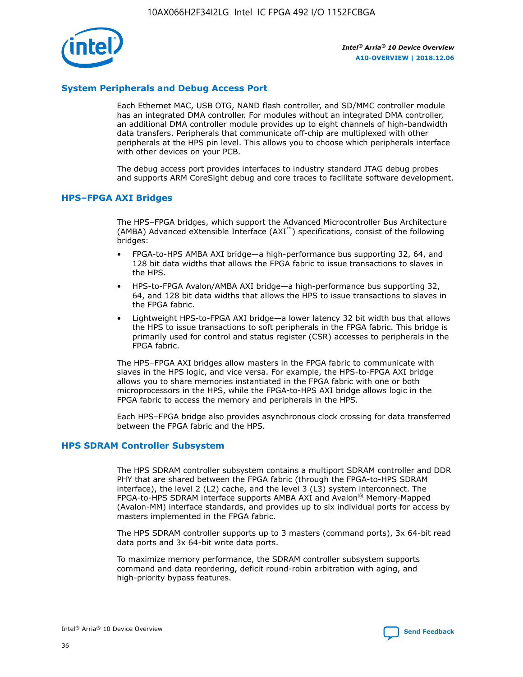

## **System Peripherals and Debug Access Port**

Each Ethernet MAC, USB OTG, NAND flash controller, and SD/MMC controller module has an integrated DMA controller. For modules without an integrated DMA controller, an additional DMA controller module provides up to eight channels of high-bandwidth data transfers. Peripherals that communicate off-chip are multiplexed with other peripherals at the HPS pin level. This allows you to choose which peripherals interface with other devices on your PCB.

The debug access port provides interfaces to industry standard JTAG debug probes and supports ARM CoreSight debug and core traces to facilitate software development.

#### **HPS–FPGA AXI Bridges**

The HPS–FPGA bridges, which support the Advanced Microcontroller Bus Architecture (AMBA) Advanced eXtensible Interface (AXI™) specifications, consist of the following bridges:

- FPGA-to-HPS AMBA AXI bridge—a high-performance bus supporting 32, 64, and 128 bit data widths that allows the FPGA fabric to issue transactions to slaves in the HPS.
- HPS-to-FPGA Avalon/AMBA AXI bridge—a high-performance bus supporting 32, 64, and 128 bit data widths that allows the HPS to issue transactions to slaves in the FPGA fabric.
- Lightweight HPS-to-FPGA AXI bridge—a lower latency 32 bit width bus that allows the HPS to issue transactions to soft peripherals in the FPGA fabric. This bridge is primarily used for control and status register (CSR) accesses to peripherals in the FPGA fabric.

The HPS–FPGA AXI bridges allow masters in the FPGA fabric to communicate with slaves in the HPS logic, and vice versa. For example, the HPS-to-FPGA AXI bridge allows you to share memories instantiated in the FPGA fabric with one or both microprocessors in the HPS, while the FPGA-to-HPS AXI bridge allows logic in the FPGA fabric to access the memory and peripherals in the HPS.

Each HPS–FPGA bridge also provides asynchronous clock crossing for data transferred between the FPGA fabric and the HPS.

#### **HPS SDRAM Controller Subsystem**

The HPS SDRAM controller subsystem contains a multiport SDRAM controller and DDR PHY that are shared between the FPGA fabric (through the FPGA-to-HPS SDRAM interface), the level 2 (L2) cache, and the level 3 (L3) system interconnect. The FPGA-to-HPS SDRAM interface supports AMBA AXI and Avalon® Memory-Mapped (Avalon-MM) interface standards, and provides up to six individual ports for access by masters implemented in the FPGA fabric.

The HPS SDRAM controller supports up to 3 masters (command ports), 3x 64-bit read data ports and 3x 64-bit write data ports.

To maximize memory performance, the SDRAM controller subsystem supports command and data reordering, deficit round-robin arbitration with aging, and high-priority bypass features.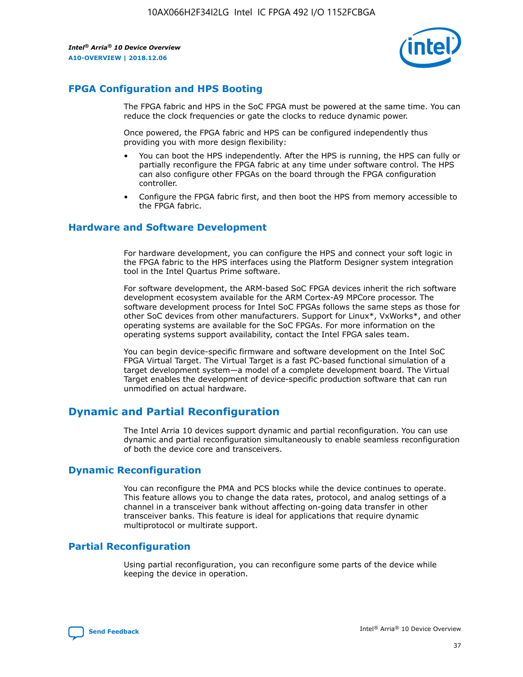

# **FPGA Configuration and HPS Booting**

The FPGA fabric and HPS in the SoC FPGA must be powered at the same time. You can reduce the clock frequencies or gate the clocks to reduce dynamic power.

Once powered, the FPGA fabric and HPS can be configured independently thus providing you with more design flexibility:

- You can boot the HPS independently. After the HPS is running, the HPS can fully or partially reconfigure the FPGA fabric at any time under software control. The HPS can also configure other FPGAs on the board through the FPGA configuration controller.
- Configure the FPGA fabric first, and then boot the HPS from memory accessible to the FPGA fabric.

## **Hardware and Software Development**

For hardware development, you can configure the HPS and connect your soft logic in the FPGA fabric to the HPS interfaces using the Platform Designer system integration tool in the Intel Quartus Prime software.

For software development, the ARM-based SoC FPGA devices inherit the rich software development ecosystem available for the ARM Cortex-A9 MPCore processor. The software development process for Intel SoC FPGAs follows the same steps as those for other SoC devices from other manufacturers. Support for Linux\*, VxWorks\*, and other operating systems are available for the SoC FPGAs. For more information on the operating systems support availability, contact the Intel FPGA sales team.

You can begin device-specific firmware and software development on the Intel SoC FPGA Virtual Target. The Virtual Target is a fast PC-based functional simulation of a target development system—a model of a complete development board. The Virtual Target enables the development of device-specific production software that can run unmodified on actual hardware.

# **Dynamic and Partial Reconfiguration**

The Intel Arria 10 devices support dynamic and partial reconfiguration. You can use dynamic and partial reconfiguration simultaneously to enable seamless reconfiguration of both the device core and transceivers.

# **Dynamic Reconfiguration**

You can reconfigure the PMA and PCS blocks while the device continues to operate. This feature allows you to change the data rates, protocol, and analog settings of a channel in a transceiver bank without affecting on-going data transfer in other transceiver banks. This feature is ideal for applications that require dynamic multiprotocol or multirate support.

# **Partial Reconfiguration**

Using partial reconfiguration, you can reconfigure some parts of the device while keeping the device in operation.

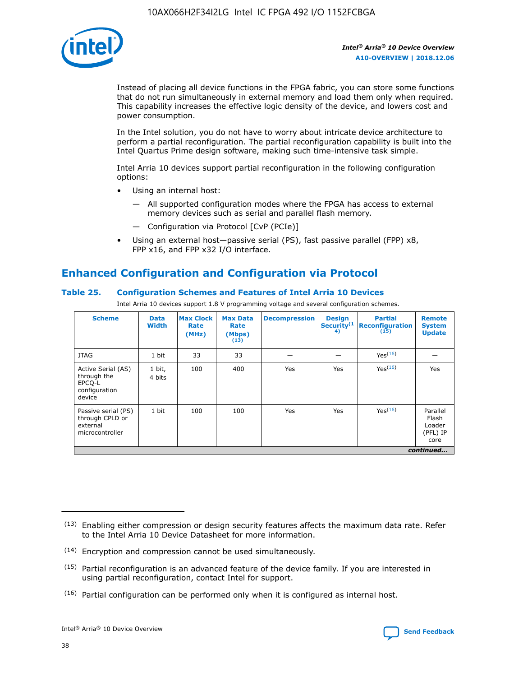

Instead of placing all device functions in the FPGA fabric, you can store some functions that do not run simultaneously in external memory and load them only when required. This capability increases the effective logic density of the device, and lowers cost and power consumption.

In the Intel solution, you do not have to worry about intricate device architecture to perform a partial reconfiguration. The partial reconfiguration capability is built into the Intel Quartus Prime design software, making such time-intensive task simple.

Intel Arria 10 devices support partial reconfiguration in the following configuration options:

- Using an internal host:
	- All supported configuration modes where the FPGA has access to external memory devices such as serial and parallel flash memory.
	- Configuration via Protocol [CvP (PCIe)]
- Using an external host—passive serial (PS), fast passive parallel (FPP) x8, FPP x16, and FPP x32 I/O interface.

# **Enhanced Configuration and Configuration via Protocol**

## **Table 25. Configuration Schemes and Features of Intel Arria 10 Devices**

Intel Arria 10 devices support 1.8 V programming voltage and several configuration schemes.

| <b>Scheme</b>                                                          | <b>Data</b><br><b>Width</b> | <b>Max Clock</b><br>Rate<br>(MHz) | <b>Max Data</b><br>Rate<br>(Mbps)<br>(13) | <b>Decompression</b> | <b>Design</b><br>Security <sup>(1</sup><br>4) | <b>Partial</b><br><b>Reconfiguration</b><br>(15) | <b>Remote</b><br><b>System</b><br><b>Update</b> |
|------------------------------------------------------------------------|-----------------------------|-----------------------------------|-------------------------------------------|----------------------|-----------------------------------------------|--------------------------------------------------|-------------------------------------------------|
| <b>JTAG</b>                                                            | 1 bit                       | 33                                | 33                                        |                      |                                               | Yes(16)                                          |                                                 |
| Active Serial (AS)<br>through the<br>EPCO-L<br>configuration<br>device | 1 bit,<br>4 bits            | 100                               | 400                                       | Yes                  | Yes                                           | $Y_{PS}(16)$                                     | Yes                                             |
| Passive serial (PS)<br>through CPLD or<br>external<br>microcontroller  | 1 bit                       | 100                               | 100                                       | Yes                  | Yes                                           | Yes(16)                                          | Parallel<br>Flash<br>Loader<br>(PFL) IP<br>core |
|                                                                        |                             |                                   |                                           |                      |                                               |                                                  | continued                                       |

<sup>(13)</sup> Enabling either compression or design security features affects the maximum data rate. Refer to the Intel Arria 10 Device Datasheet for more information.

<sup>(14)</sup> Encryption and compression cannot be used simultaneously.

 $<sup>(15)</sup>$  Partial reconfiguration is an advanced feature of the device family. If you are interested in</sup> using partial reconfiguration, contact Intel for support.

 $(16)$  Partial configuration can be performed only when it is configured as internal host.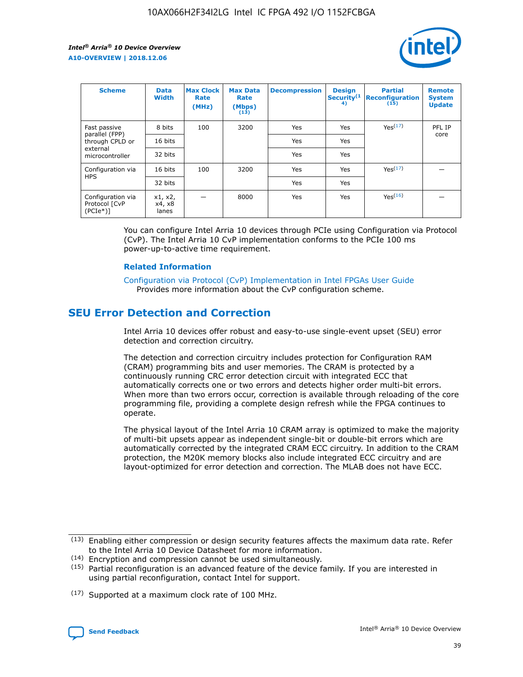

| <b>Scheme</b>                                    | <b>Data</b><br><b>Width</b> | <b>Max Clock</b><br>Rate<br>(MHz) | <b>Max Data</b><br>Rate<br>(Mbps)<br>(13) | <b>Decompression</b> | <b>Design</b><br>Security <sup>(1</sup><br>4) | <b>Partial</b><br><b>Reconfiguration</b><br>(15) | <b>Remote</b><br><b>System</b><br><b>Update</b> |
|--------------------------------------------------|-----------------------------|-----------------------------------|-------------------------------------------|----------------------|-----------------------------------------------|--------------------------------------------------|-------------------------------------------------|
| Fast passive                                     | 8 bits                      | 100                               | 3200                                      | Yes                  | Yes                                           | Yes <sup>(17)</sup>                              | PFL IP                                          |
| parallel (FPP)<br>through CPLD or                | 16 bits                     |                                   |                                           | Yes                  | Yes                                           |                                                  | core                                            |
| external<br>microcontroller                      | 32 bits                     |                                   |                                           | Yes                  | Yes                                           |                                                  |                                                 |
| Configuration via                                | 16 bits                     | 100                               | 3200                                      | Yes                  | Yes                                           | Yes <sup>(17)</sup>                              |                                                 |
| <b>HPS</b>                                       | 32 bits                     |                                   |                                           | Yes                  | Yes                                           |                                                  |                                                 |
| Configuration via<br>Protocol [CvP<br>$(PCIe^*)$ | x1, x2,<br>x4, x8<br>lanes  |                                   | 8000                                      | Yes                  | Yes                                           | Yes <sup>(16)</sup>                              |                                                 |

You can configure Intel Arria 10 devices through PCIe using Configuration via Protocol (CvP). The Intel Arria 10 CvP implementation conforms to the PCIe 100 ms power-up-to-active time requirement.

#### **Related Information**

[Configuration via Protocol \(CvP\) Implementation in Intel FPGAs User Guide](https://www.intel.com/content/www/us/en/programmable/documentation/dsu1441819344145.html#dsu1442269728522) Provides more information about the CvP configuration scheme.

# **SEU Error Detection and Correction**

Intel Arria 10 devices offer robust and easy-to-use single-event upset (SEU) error detection and correction circuitry.

The detection and correction circuitry includes protection for Configuration RAM (CRAM) programming bits and user memories. The CRAM is protected by a continuously running CRC error detection circuit with integrated ECC that automatically corrects one or two errors and detects higher order multi-bit errors. When more than two errors occur, correction is available through reloading of the core programming file, providing a complete design refresh while the FPGA continues to operate.

The physical layout of the Intel Arria 10 CRAM array is optimized to make the majority of multi-bit upsets appear as independent single-bit or double-bit errors which are automatically corrected by the integrated CRAM ECC circuitry. In addition to the CRAM protection, the M20K memory blocks also include integrated ECC circuitry and are layout-optimized for error detection and correction. The MLAB does not have ECC.

(14) Encryption and compression cannot be used simultaneously.

<sup>(17)</sup> Supported at a maximum clock rate of 100 MHz.



 $(13)$  Enabling either compression or design security features affects the maximum data rate. Refer to the Intel Arria 10 Device Datasheet for more information.

 $(15)$  Partial reconfiguration is an advanced feature of the device family. If you are interested in using partial reconfiguration, contact Intel for support.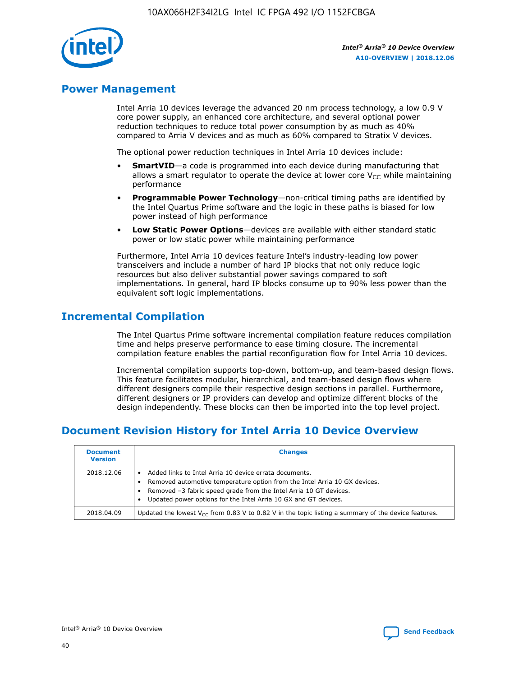

# **Power Management**

Intel Arria 10 devices leverage the advanced 20 nm process technology, a low 0.9 V core power supply, an enhanced core architecture, and several optional power reduction techniques to reduce total power consumption by as much as 40% compared to Arria V devices and as much as 60% compared to Stratix V devices.

The optional power reduction techniques in Intel Arria 10 devices include:

- **SmartVID**—a code is programmed into each device during manufacturing that allows a smart regulator to operate the device at lower core  $V_{CC}$  while maintaining performance
- **Programmable Power Technology**—non-critical timing paths are identified by the Intel Quartus Prime software and the logic in these paths is biased for low power instead of high performance
- **Low Static Power Options**—devices are available with either standard static power or low static power while maintaining performance

Furthermore, Intel Arria 10 devices feature Intel's industry-leading low power transceivers and include a number of hard IP blocks that not only reduce logic resources but also deliver substantial power savings compared to soft implementations. In general, hard IP blocks consume up to 90% less power than the equivalent soft logic implementations.

# **Incremental Compilation**

The Intel Quartus Prime software incremental compilation feature reduces compilation time and helps preserve performance to ease timing closure. The incremental compilation feature enables the partial reconfiguration flow for Intel Arria 10 devices.

Incremental compilation supports top-down, bottom-up, and team-based design flows. This feature facilitates modular, hierarchical, and team-based design flows where different designers compile their respective design sections in parallel. Furthermore, different designers or IP providers can develop and optimize different blocks of the design independently. These blocks can then be imported into the top level project.

# **Document Revision History for Intel Arria 10 Device Overview**

| <b>Document</b><br><b>Version</b> | <b>Changes</b>                                                                                                                                                                                                                                                              |
|-----------------------------------|-----------------------------------------------------------------------------------------------------------------------------------------------------------------------------------------------------------------------------------------------------------------------------|
| 2018.12.06                        | Added links to Intel Arria 10 device errata documents.<br>Removed automotive temperature option from the Intel Arria 10 GX devices.<br>Removed -3 fabric speed grade from the Intel Arria 10 GT devices.<br>Updated power options for the Intel Arria 10 GX and GT devices. |
| 2018.04.09                        | Updated the lowest $V_{CC}$ from 0.83 V to 0.82 V in the topic listing a summary of the device features.                                                                                                                                                                    |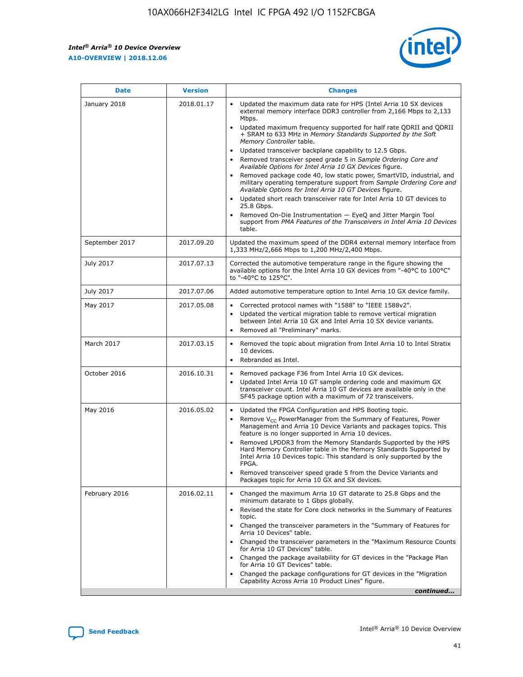*Intel® Arria® 10 Device Overview* **A10-OVERVIEW | 2018.12.06**



| <b>Date</b>    | <b>Version</b> | <b>Changes</b>                                                                                                                                                                                                                                                                                                                                                                                                                                                                                                                                                                                                                                                                                                                                                                                                                                                                                                                                                            |
|----------------|----------------|---------------------------------------------------------------------------------------------------------------------------------------------------------------------------------------------------------------------------------------------------------------------------------------------------------------------------------------------------------------------------------------------------------------------------------------------------------------------------------------------------------------------------------------------------------------------------------------------------------------------------------------------------------------------------------------------------------------------------------------------------------------------------------------------------------------------------------------------------------------------------------------------------------------------------------------------------------------------------|
| January 2018   | 2018.01.17     | Updated the maximum data rate for HPS (Intel Arria 10 SX devices<br>external memory interface DDR3 controller from 2,166 Mbps to 2,133<br>Mbps.<br>Updated maximum frequency supported for half rate QDRII and QDRII<br>+ SRAM to 633 MHz in Memory Standards Supported by the Soft<br>Memory Controller table.<br>Updated transceiver backplane capability to 12.5 Gbps.<br>$\bullet$<br>Removed transceiver speed grade 5 in Sample Ordering Core and<br>Available Options for Intel Arria 10 GX Devices figure.<br>Removed package code 40, low static power, SmartVID, industrial, and<br>military operating temperature support from Sample Ordering Core and<br>Available Options for Intel Arria 10 GT Devices figure.<br>Updated short reach transceiver rate for Intel Arria 10 GT devices to<br>25.8 Gbps.<br>Removed On-Die Instrumentation - EyeQ and Jitter Margin Tool<br>support from PMA Features of the Transceivers in Intel Arria 10 Devices<br>table. |
| September 2017 | 2017.09.20     | Updated the maximum speed of the DDR4 external memory interface from<br>1,333 MHz/2,666 Mbps to 1,200 MHz/2,400 Mbps.                                                                                                                                                                                                                                                                                                                                                                                                                                                                                                                                                                                                                                                                                                                                                                                                                                                     |
| July 2017      | 2017.07.13     | Corrected the automotive temperature range in the figure showing the<br>available options for the Intel Arria 10 GX devices from "-40°C to 100°C"<br>to "-40°C to 125°C".                                                                                                                                                                                                                                                                                                                                                                                                                                                                                                                                                                                                                                                                                                                                                                                                 |
| July 2017      | 2017.07.06     | Added automotive temperature option to Intel Arria 10 GX device family.                                                                                                                                                                                                                                                                                                                                                                                                                                                                                                                                                                                                                                                                                                                                                                                                                                                                                                   |
| May 2017       | 2017.05.08     | Corrected protocol names with "1588" to "IEEE 1588v2".<br>Updated the vertical migration table to remove vertical migration<br>between Intel Arria 10 GX and Intel Arria 10 SX device variants.<br>Removed all "Preliminary" marks.                                                                                                                                                                                                                                                                                                                                                                                                                                                                                                                                                                                                                                                                                                                                       |
| March 2017     | 2017.03.15     | Removed the topic about migration from Intel Arria 10 to Intel Stratix<br>10 devices.<br>Rebranded as Intel.<br>$\bullet$                                                                                                                                                                                                                                                                                                                                                                                                                                                                                                                                                                                                                                                                                                                                                                                                                                                 |
| October 2016   | 2016.10.31     | Removed package F36 from Intel Arria 10 GX devices.<br>Updated Intel Arria 10 GT sample ordering code and maximum GX<br>$\bullet$<br>transceiver count. Intel Arria 10 GT devices are available only in the<br>SF45 package option with a maximum of 72 transceivers.                                                                                                                                                                                                                                                                                                                                                                                                                                                                                                                                                                                                                                                                                                     |
| May 2016       | 2016.05.02     | Updated the FPGA Configuration and HPS Booting topic.<br>Remove V <sub>CC</sub> PowerManager from the Summary of Features, Power<br>Management and Arria 10 Device Variants and packages topics. This<br>feature is no longer supported in Arria 10 devices.<br>Removed LPDDR3 from the Memory Standards Supported by the HPS<br>Hard Memory Controller table in the Memory Standards Supported by<br>Intel Arria 10 Devices topic. This standard is only supported by the<br>FPGA.<br>Removed transceiver speed grade 5 from the Device Variants and<br>Packages topic for Arria 10 GX and SX devices.                                                                                                                                                                                                                                                                                                                                                                   |
| February 2016  | 2016.02.11     | Changed the maximum Arria 10 GT datarate to 25.8 Gbps and the<br>minimum datarate to 1 Gbps globally.<br>Revised the state for Core clock networks in the Summary of Features<br>$\bullet$<br>topic.<br>Changed the transceiver parameters in the "Summary of Features for<br>Arria 10 Devices" table.<br>• Changed the transceiver parameters in the "Maximum Resource Counts<br>for Arria 10 GT Devices" table.<br>• Changed the package availability for GT devices in the "Package Plan<br>for Arria 10 GT Devices" table.<br>Changed the package configurations for GT devices in the "Migration"<br>Capability Across Arria 10 Product Lines" figure.<br>continued                                                                                                                                                                                                                                                                                                  |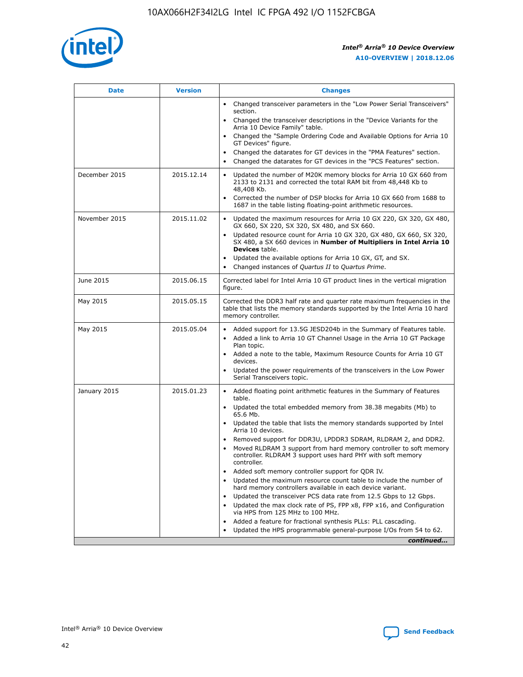

| <b>Date</b>   | <b>Version</b> | <b>Changes</b>                                                                                                                                                                   |
|---------------|----------------|----------------------------------------------------------------------------------------------------------------------------------------------------------------------------------|
|               |                | • Changed transceiver parameters in the "Low Power Serial Transceivers"<br>section.                                                                                              |
|               |                | • Changed the transceiver descriptions in the "Device Variants for the<br>Arria 10 Device Family" table.                                                                         |
|               |                | Changed the "Sample Ordering Code and Available Options for Arria 10<br>GT Devices" figure.                                                                                      |
|               |                | Changed the datarates for GT devices in the "PMA Features" section.                                                                                                              |
|               |                | Changed the datarates for GT devices in the "PCS Features" section.<br>$\bullet$                                                                                                 |
| December 2015 | 2015.12.14     | Updated the number of M20K memory blocks for Arria 10 GX 660 from<br>$\bullet$<br>2133 to 2131 and corrected the total RAM bit from 48,448 Kb to<br>48,408 Kb.                   |
|               |                | Corrected the number of DSP blocks for Arria 10 GX 660 from 1688 to<br>$\bullet$<br>1687 in the table listing floating-point arithmetic resources.                               |
| November 2015 | 2015.11.02     | Updated the maximum resources for Arria 10 GX 220, GX 320, GX 480,<br>$\bullet$<br>GX 660, SX 220, SX 320, SX 480, and SX 660.                                                   |
|               |                | Updated resource count for Arria 10 GX 320, GX 480, GX 660, SX 320,<br>$\bullet$<br>SX 480, a SX 660 devices in Number of Multipliers in Intel Arria 10<br><b>Devices</b> table. |
|               |                | Updated the available options for Arria 10 GX, GT, and SX.<br>$\bullet$                                                                                                          |
|               |                | Changed instances of Quartus II to Quartus Prime.<br>$\bullet$                                                                                                                   |
| June 2015     | 2015.06.15     | Corrected label for Intel Arria 10 GT product lines in the vertical migration<br>figure.                                                                                         |
| May 2015      | 2015.05.15     | Corrected the DDR3 half rate and quarter rate maximum frequencies in the<br>table that lists the memory standards supported by the Intel Arria 10 hard<br>memory controller.     |
| May 2015      | 2015.05.04     | • Added support for 13.5G JESD204b in the Summary of Features table.<br>• Added a link to Arria 10 GT Channel Usage in the Arria 10 GT Package<br>Plan topic.                    |
|               |                | • Added a note to the table, Maximum Resource Counts for Arria 10 GT<br>devices.                                                                                                 |
|               |                | Updated the power requirements of the transceivers in the Low Power<br>Serial Transceivers topic.                                                                                |
| January 2015  | 2015.01.23     | • Added floating point arithmetic features in the Summary of Features<br>table.                                                                                                  |
|               |                | • Updated the total embedded memory from 38.38 megabits (Mb) to<br>65.6 Mb.                                                                                                      |
|               |                | • Updated the table that lists the memory standards supported by Intel<br>Arria 10 devices.                                                                                      |
|               |                | Removed support for DDR3U, LPDDR3 SDRAM, RLDRAM 2, and DDR2.<br>Moved RLDRAM 3 support from hard memory controller to soft memory                                                |
|               |                | controller. RLDRAM 3 support uses hard PHY with soft memory<br>controller.                                                                                                       |
|               |                | Added soft memory controller support for QDR IV.                                                                                                                                 |
|               |                | Updated the maximum resource count table to include the number of<br>hard memory controllers available in each device variant.                                                   |
|               |                | Updated the transceiver PCS data rate from 12.5 Gbps to 12 Gbps.<br>$\bullet$                                                                                                    |
|               |                | Updated the max clock rate of PS, FPP x8, FPP x16, and Configuration<br>via HPS from 125 MHz to 100 MHz.                                                                         |
|               |                | Added a feature for fractional synthesis PLLs: PLL cascading.                                                                                                                    |
|               |                | Updated the HPS programmable general-purpose I/Os from 54 to 62.<br>$\bullet$                                                                                                    |
|               |                | continued                                                                                                                                                                        |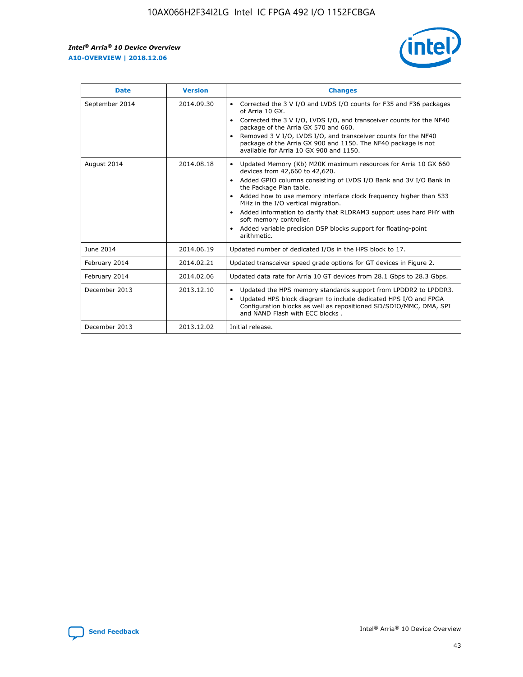r



| <b>Date</b>    | <b>Version</b> | <b>Changes</b>                                                                                                                                                                                                                                                                                                                                                                                                                                                                                                                                      |
|----------------|----------------|-----------------------------------------------------------------------------------------------------------------------------------------------------------------------------------------------------------------------------------------------------------------------------------------------------------------------------------------------------------------------------------------------------------------------------------------------------------------------------------------------------------------------------------------------------|
| September 2014 | 2014.09.30     | Corrected the 3 V I/O and LVDS I/O counts for F35 and F36 packages<br>$\bullet$<br>of Arria 10 GX.<br>Corrected the 3 V I/O, LVDS I/O, and transceiver counts for the NF40<br>$\bullet$<br>package of the Arria GX 570 and 660.<br>Removed 3 V I/O, LVDS I/O, and transceiver counts for the NF40<br>package of the Arria GX 900 and 1150. The NF40 package is not<br>available for Arria 10 GX 900 and 1150.                                                                                                                                       |
| August 2014    | 2014.08.18     | Updated Memory (Kb) M20K maximum resources for Arria 10 GX 660<br>devices from 42,660 to 42,620.<br>Added GPIO columns consisting of LVDS I/O Bank and 3V I/O Bank in<br>$\bullet$<br>the Package Plan table.<br>Added how to use memory interface clock frequency higher than 533<br>$\bullet$<br>MHz in the I/O vertical migration.<br>Added information to clarify that RLDRAM3 support uses hard PHY with<br>$\bullet$<br>soft memory controller.<br>Added variable precision DSP blocks support for floating-point<br>$\bullet$<br>arithmetic. |
| June 2014      | 2014.06.19     | Updated number of dedicated I/Os in the HPS block to 17.                                                                                                                                                                                                                                                                                                                                                                                                                                                                                            |
| February 2014  | 2014.02.21     | Updated transceiver speed grade options for GT devices in Figure 2.                                                                                                                                                                                                                                                                                                                                                                                                                                                                                 |
| February 2014  | 2014.02.06     | Updated data rate for Arria 10 GT devices from 28.1 Gbps to 28.3 Gbps.                                                                                                                                                                                                                                                                                                                                                                                                                                                                              |
| December 2013  | 2013.12.10     | Updated the HPS memory standards support from LPDDR2 to LPDDR3.<br>Updated HPS block diagram to include dedicated HPS I/O and FPGA<br>$\bullet$<br>Configuration blocks as well as repositioned SD/SDIO/MMC, DMA, SPI<br>and NAND Flash with ECC blocks.                                                                                                                                                                                                                                                                                            |
| December 2013  | 2013.12.02     | Initial release.                                                                                                                                                                                                                                                                                                                                                                                                                                                                                                                                    |